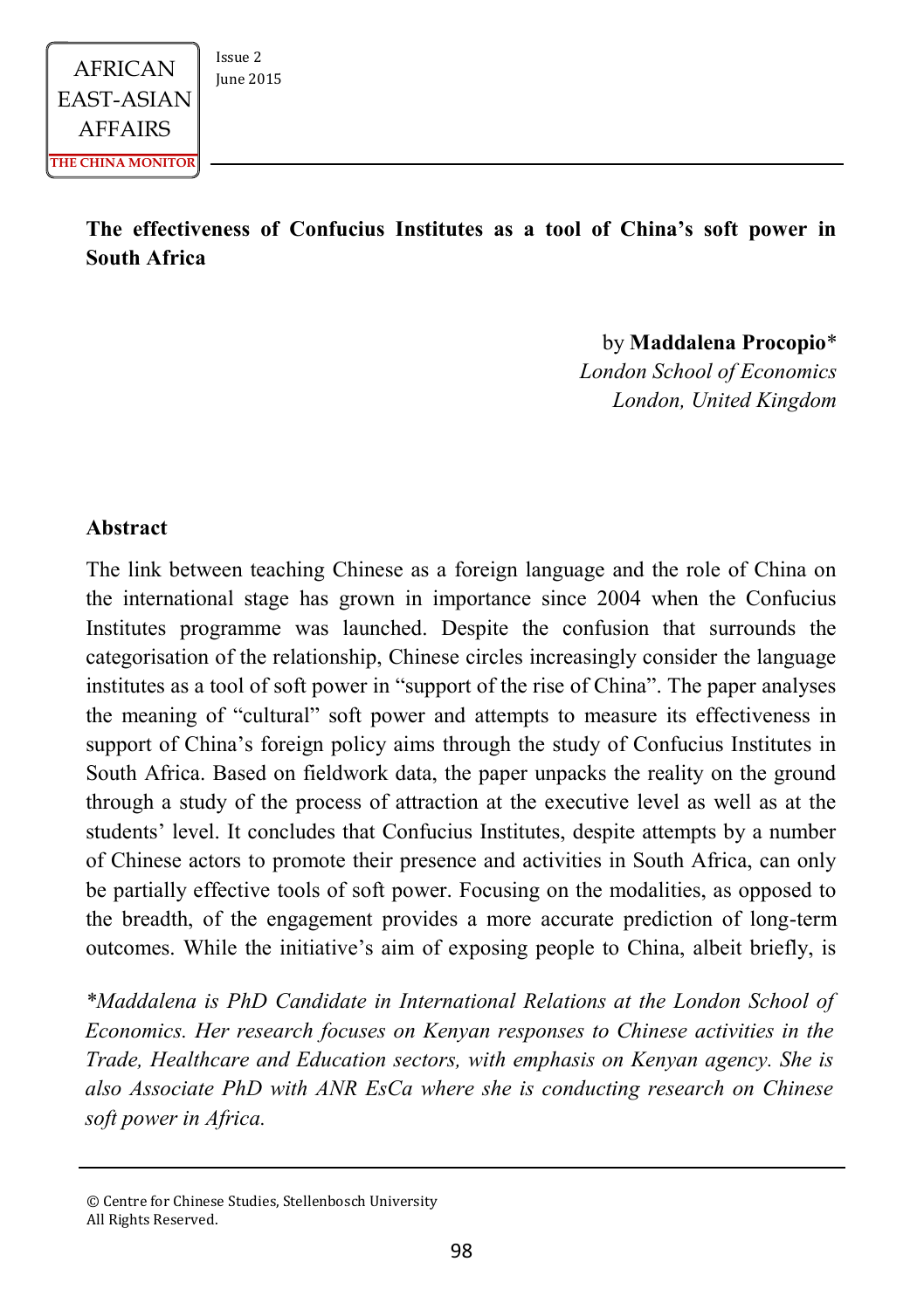**The effectiveness of Confucius Institutes as a tool of China's soft power in South Africa**

by **Maddalena Procopio**\*

*London School of Economics London, United Kingdom*

#### **Abstract**

The link between teaching Chinese as a foreign language and the role of China on the international stage has grown in importance since 2004 when the Confucius Institutes programme was launched. Despite the confusion that surrounds the categorisation of the relationship, Chinese circles increasingly consider the language institutes as a tool of soft power in "support of the rise of China". The paper analyses the meaning of "cultural" soft power and attempts to measure its effectiveness in support of China's foreign policy aims through the study of Confucius Institutes in South Africa. Based on fieldwork data, the paper unpacks the reality on the ground through a study of the process of attraction at the executive level as well as at the students' level. It concludes that Confucius Institutes, despite attempts by a number of Chinese actors to promote their presence and activities in South Africa, can only be partially effective tools of soft power. Focusing on the modalities, as opposed to the breadth, of the engagement provides a more accurate prediction of long-term outcomes. While the initiative's aim of exposing people to China, albeit briefly, is

*\*Maddalena is PhD Candidate in International Relations at the London School of Economics. Her research focuses on Kenyan responses to Chinese activities in the Trade, Healthcare and Education sectors, with emphasis on Kenyan agency. She is also Associate PhD with ANR EsCa where she is conducting research on Chinese soft power in Africa.*

<sup>©</sup> Centre for Chinese Studies, Stellenbosch University All Rights Reserved.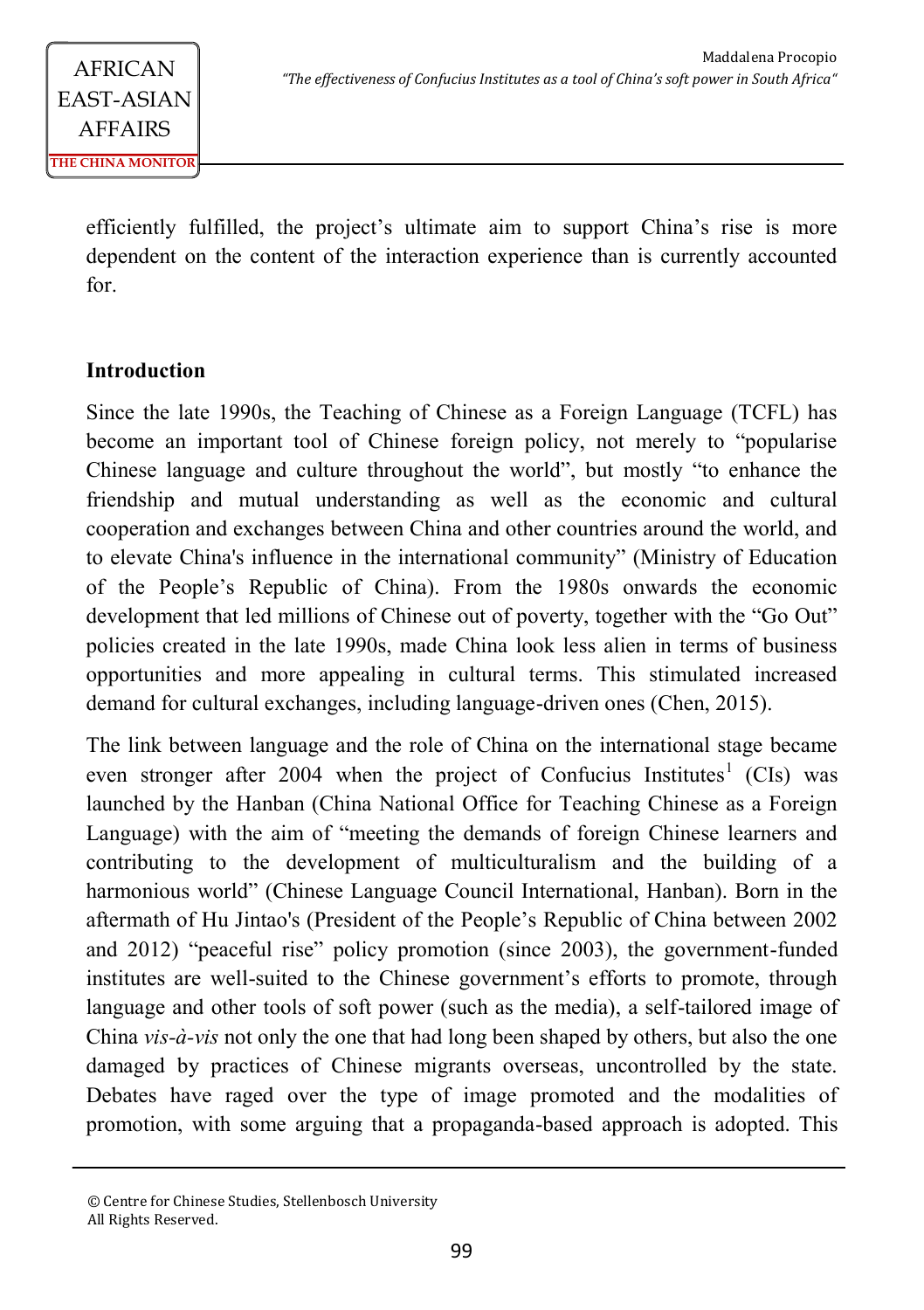> efficiently fulfilled, the project's ultimate aim to support China's rise is more dependent on the content of the interaction experience than is currently accounted for.

### **Introduction**

Since the late 1990s, the Teaching of Chinese as a Foreign Language (TCFL) has become an important tool of Chinese foreign policy, not merely to "popularise Chinese language and culture throughout the world", but mostly "to enhance the friendship and mutual understanding as well as the economic and cultural cooperation and exchanges between China and other countries around the world, and to elevate China's influence in the international community" (Ministry of Education of the People's Republic of China). From the 1980s onwards the economic development that led millions of Chinese out of poverty, together with the "Go Out" policies created in the late 1990s, made China look less alien in terms of business opportunities and more appealing in cultural terms. This stimulated increased demand for cultural exchanges, including language-driven ones (Chen, 2015).

The link between language and the role of China on the international stage became even stronger after 2004 when the project of Confucius Institutes<sup>1</sup> (CIs) was launched by the Hanban (China National Office for Teaching Chinese as a Foreign Language) with the aim of "meeting the demands of foreign Chinese learners and contributing to the development of multiculturalism and the building of a harmonious world" (Chinese Language Council International, Hanban). Born in the aftermath of Hu Jintao's (President of the People's Republic of China between 2002 and 2012) "peaceful rise" policy promotion (since 2003), the government-funded institutes are well-suited to the Chinese government's efforts to promote, through language and other tools of soft power (such as the media), a self-tailored image of China *vis-à-vis* not only the one that had long been shaped by others, but also the one damaged by practices of Chinese migrants overseas, uncontrolled by the state. Debates have raged over the type of image promoted and the modalities of promotion, with some arguing that a propaganda-based approach is adopted. This

<sup>©</sup> Centre for Chinese Studies, Stellenbosch University All Rights Reserved.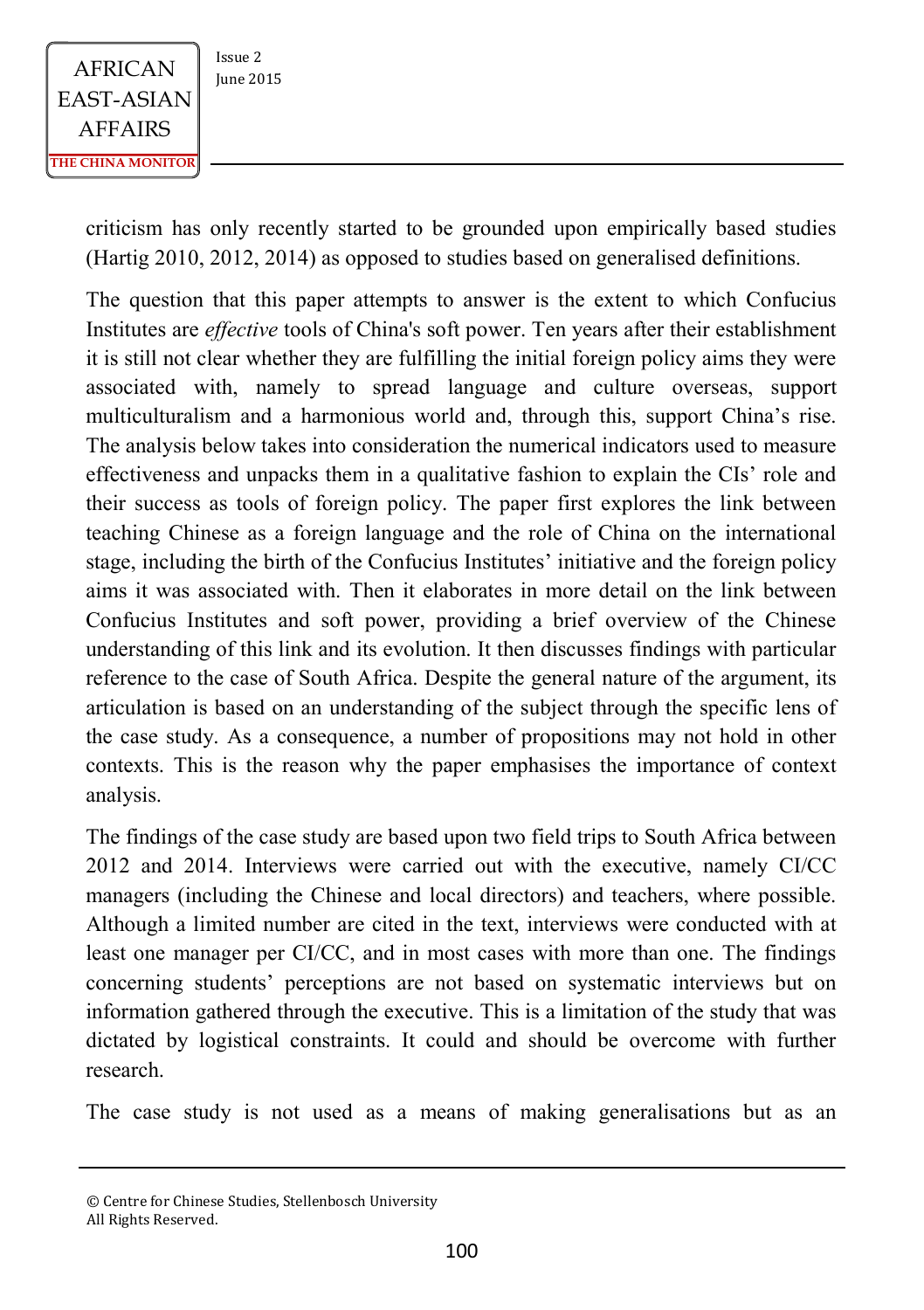

criticism has only recently started to be grounded upon empirically based studies (Hartig 2010, 2012, 2014) as opposed to studies based on generalised definitions.

The question that this paper attempts to answer is the extent to which Confucius Institutes are *effective* tools of China's soft power. Ten years after their establishment it is still not clear whether they are fulfilling the initial foreign policy aims they were associated with, namely to spread language and culture overseas, support multiculturalism and a harmonious world and, through this, support China's rise. The analysis below takes into consideration the numerical indicators used to measure effectiveness and unpacks them in a qualitative fashion to explain the CIs' role and their success as tools of foreign policy. The paper first explores the link between teaching Chinese as a foreign language and the role of China on the international stage, including the birth of the Confucius Institutes' initiative and the foreign policy aims it was associated with. Then it elaborates in more detail on the link between Confucius Institutes and soft power, providing a brief overview of the Chinese understanding of this link and its evolution. It then discusses findings with particular reference to the case of South Africa. Despite the general nature of the argument, its articulation is based on an understanding of the subject through the specific lens of the case study. As a consequence, a number of propositions may not hold in other contexts. This is the reason why the paper emphasises the importance of context analysis.

The findings of the case study are based upon two field trips to South Africa between 2012 and 2014. Interviews were carried out with the executive, namely CI/CC managers (including the Chinese and local directors) and teachers, where possible. Although a limited number are cited in the text, interviews were conducted with at least one manager per CI/CC, and in most cases with more than one. The findings concerning students' perceptions are not based on systematic interviews but on information gathered through the executive. This is a limitation of the study that was dictated by logistical constraints. It could and should be overcome with further research.

The case study is not used as a means of making generalisations but as an

<sup>©</sup> Centre for Chinese Studies, Stellenbosch University All Rights Reserved.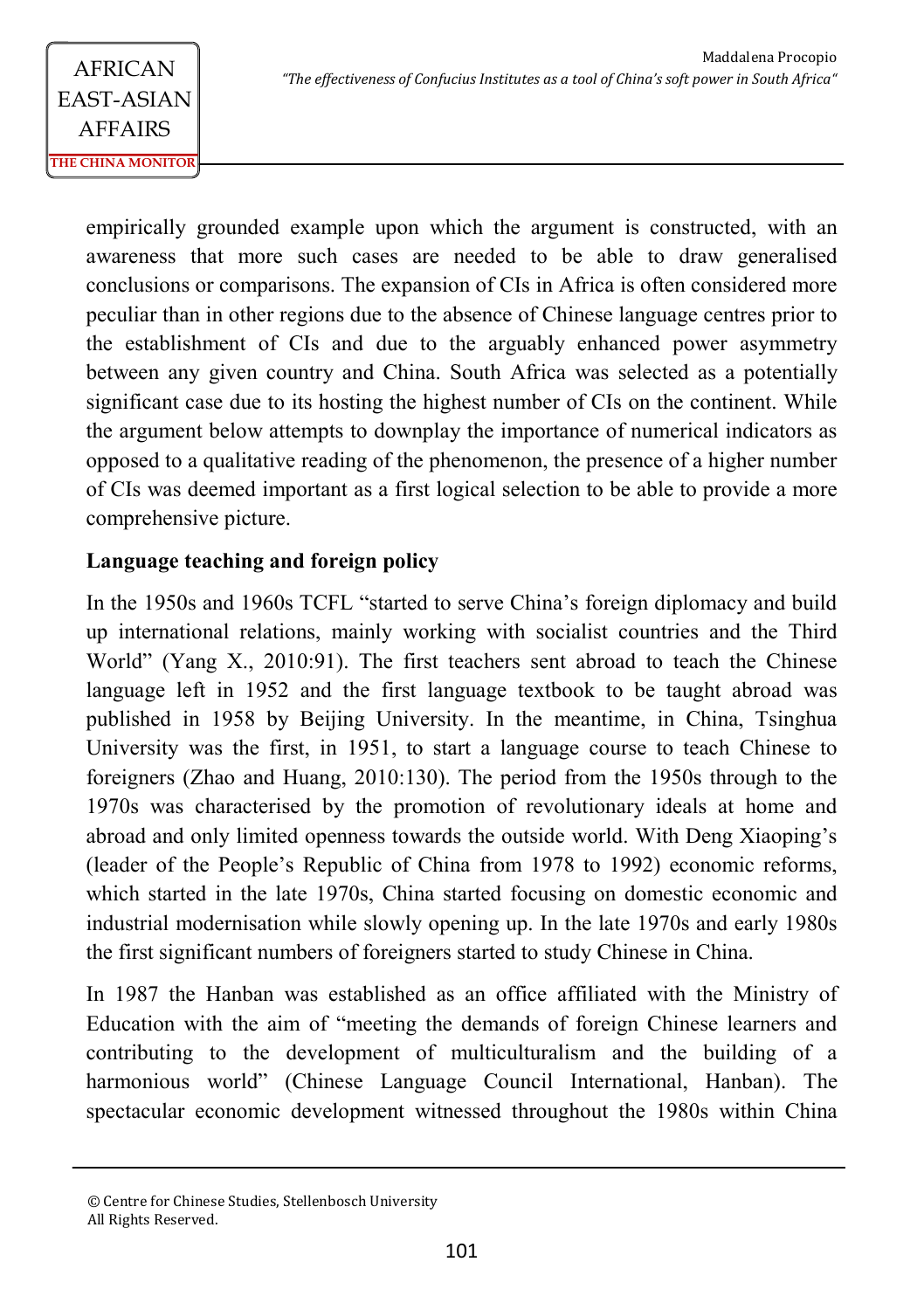empirically grounded example upon which the argument is constructed, with an awareness that more such cases are needed to be able to draw generalised conclusions or comparisons. The expansion of CIs in Africa is often considered more peculiar than in other regions due to the absence of Chinese language centres prior to the establishment of CIs and due to the arguably enhanced power asymmetry between any given country and China. South Africa was selected as a potentially significant case due to its hosting the highest number of CIs on the continent. While the argument below attempts to downplay the importance of numerical indicators as opposed to a qualitative reading of the phenomenon, the presence of a higher number of CIs was deemed important as a first logical selection to be able to provide a more comprehensive picture.

### **Language teaching and foreign policy**

In the 1950s and 1960s TCFL "started to serve China's foreign diplomacy and build up international relations, mainly working with socialist countries and the Third World" (Yang X., 2010:91). The first teachers sent abroad to teach the Chinese language left in 1952 and the first language textbook to be taught abroad was published in 1958 by Beijing University. In the meantime, in China, Tsinghua University was the first, in 1951, to start a language course to teach Chinese to foreigners (Zhao and Huang, 2010:130). The period from the 1950s through to the 1970s was characterised by the promotion of revolutionary ideals at home and abroad and only limited openness towards the outside world. With Deng Xiaoping's (leader of the People's Republic of China from 1978 to 1992) economic reforms, which started in the late 1970s, China started focusing on domestic economic and industrial modernisation while slowly opening up. In the late 1970s and early 1980s the first significant numbers of foreigners started to study Chinese in China.

In 1987 the Hanban was established as an office affiliated with the Ministry of Education with the aim of "meeting the demands of foreign Chinese learners and contributing to the development of multiculturalism and the building of a harmonious world" (Chinese Language Council International, Hanban). The spectacular economic development witnessed throughout the 1980s within China

<sup>©</sup> Centre for Chinese Studies, Stellenbosch University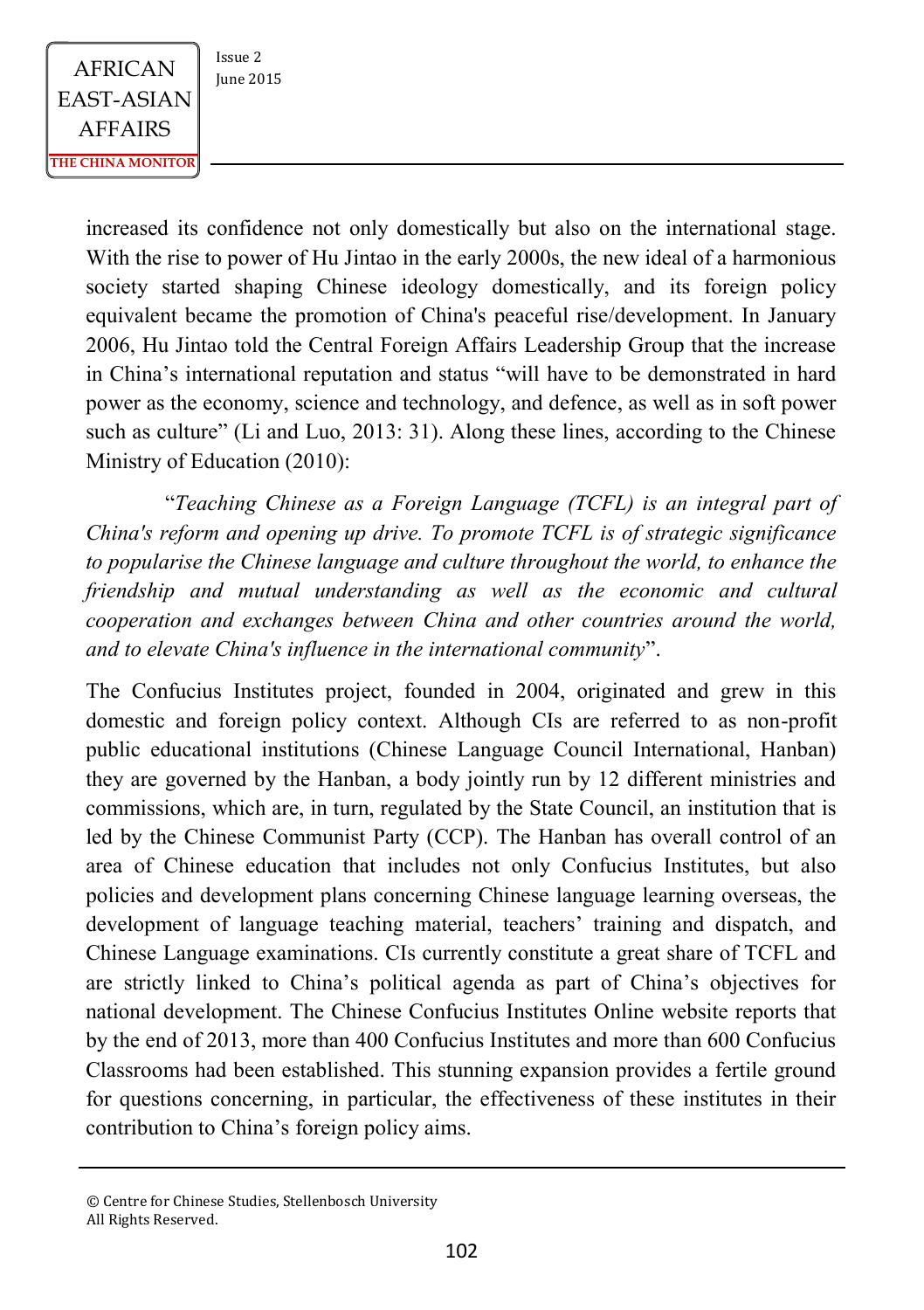$AFRICAN$   $\begin{array}{|c|c|} \n \hline \n \text{Issue 2} & \n \text{Iunie 2015} \n \end{array}$ EAST-ASIAN AFFAIRS **THE CHINA MONITOR**

increased its confidence not only domestically but also on the international stage. With the rise to power of Hu Jintao in the early 2000s, the new ideal of a harmonious society started shaping Chinese ideology domestically, and its foreign policy equivalent became the promotion of China's peaceful rise/development. In January 2006, Hu Jintao told the Central Foreign Affairs Leadership Group that the increase in China's international reputation and status "will have to be demonstrated in hard power as the economy, science and technology, and defence, as well as in soft power such as culture" (Li and Luo, 2013: 31). Along these lines, according to the Chinese Ministry of Education (2010):

"*Teaching Chinese as a Foreign Language (TCFL) is an integral part of China's reform and opening up drive. To promote TCFL is of strategic significance to popularise the Chinese language and culture throughout the world, to enhance the friendship and mutual understanding as well as the economic and cultural cooperation and exchanges between China and other countries around the world, and to elevate China's influence in the international community*".

The Confucius Institutes project, founded in 2004, originated and grew in this domestic and foreign policy context. Although CIs are referred to as non-profit public educational institutions (Chinese Language Council International, Hanban) they are governed by the Hanban, a body jointly run by 12 different ministries and commissions, which are, in turn, regulated by the State Council, an institution that is led by the Chinese Communist Party (CCP). The Hanban has overall control of an area of Chinese education that includes not only Confucius Institutes, but also policies and development plans concerning Chinese language learning overseas, the development of language teaching material, teachers' training and dispatch, and Chinese Language examinations. CIs currently constitute a great share of TCFL and are strictly linked to China's political agenda as part of China's objectives for national development. The Chinese Confucius Institutes Online website reports that by the end of 2013, more than 400 Confucius Institutes and more than 600 Confucius Classrooms had been established. This stunning expansion provides a fertile ground for questions concerning, in particular, the effectiveness of these institutes in their contribution to China's foreign policy aims.

<sup>©</sup> Centre for Chinese Studies, Stellenbosch University All Rights Reserved.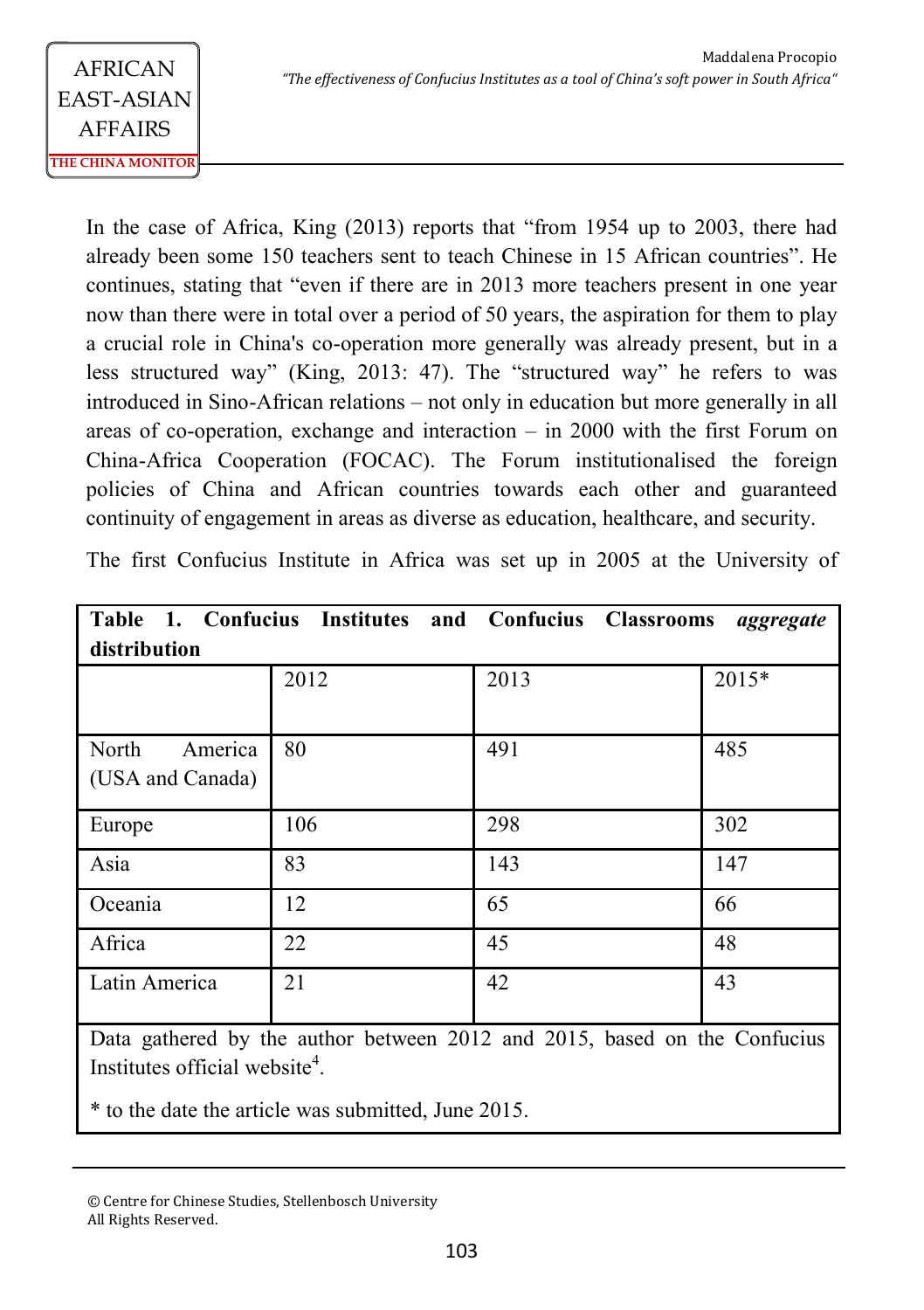In the case of Africa, King (2013) reports that "from 1954 up to 2003, there had already been some 150 teachers sent to teach Chinese in 15 African countries". He continues, stating that "even if there are in 2013 more teachers present in one year now than there were in total over a period of 50 years, the aspiration for them to play a crucial role in China's co-operation more generally was already present, but in a less structured way" (King, 2013: 47). The "structured way" he refers to was introduced in Sino-African relations – not only in education but more generally in all areas of co-operation, exchange and interaction  $-$  in 2000 with the first Forum on China-Africa Cooperation (FOCAC). The Forum institutionalised the foreign policies of China and African countries towards each other and guaranteed continuity of engagement in areas as diverse as education, healthcare, and security.

|  |  |  |  |  |  |  |  |  |  |  |  |  | The first Confucius Institute in Africa was set up in 2005 at the University of |  |
|--|--|--|--|--|--|--|--|--|--|--|--|--|---------------------------------------------------------------------------------|--|
|--|--|--|--|--|--|--|--|--|--|--|--|--|---------------------------------------------------------------------------------|--|

|                  |      | Table 1. Confucius Institutes and Confucius Classrooms                    | aggregate |  |  |  |  |  |  |
|------------------|------|---------------------------------------------------------------------------|-----------|--|--|--|--|--|--|
| distribution     |      |                                                                           |           |  |  |  |  |  |  |
|                  | 2012 | 2013                                                                      | 2015*     |  |  |  |  |  |  |
|                  |      |                                                                           |           |  |  |  |  |  |  |
| North<br>America | 80   | 491                                                                       | 485       |  |  |  |  |  |  |
| (USA and Canada) |      |                                                                           |           |  |  |  |  |  |  |
| Europe           | 106  | 298                                                                       | 302       |  |  |  |  |  |  |
| Asia             | 83   | 143                                                                       | 147       |  |  |  |  |  |  |
| Oceania          | 12   | 65                                                                        | 66        |  |  |  |  |  |  |
| Africa           | 22   | 45                                                                        | 48        |  |  |  |  |  |  |
| Latin America    | 21   | 42                                                                        | 43        |  |  |  |  |  |  |
|                  |      | Data gathered by the author between 2012 and 2015, based on the Confucius |           |  |  |  |  |  |  |

Institutes official website<sup>4</sup>.

\* to the date the article was submitted, June 2015.

<sup>©</sup> Centre for Chinese Studies, Stellenbosch University All Rights Reserved.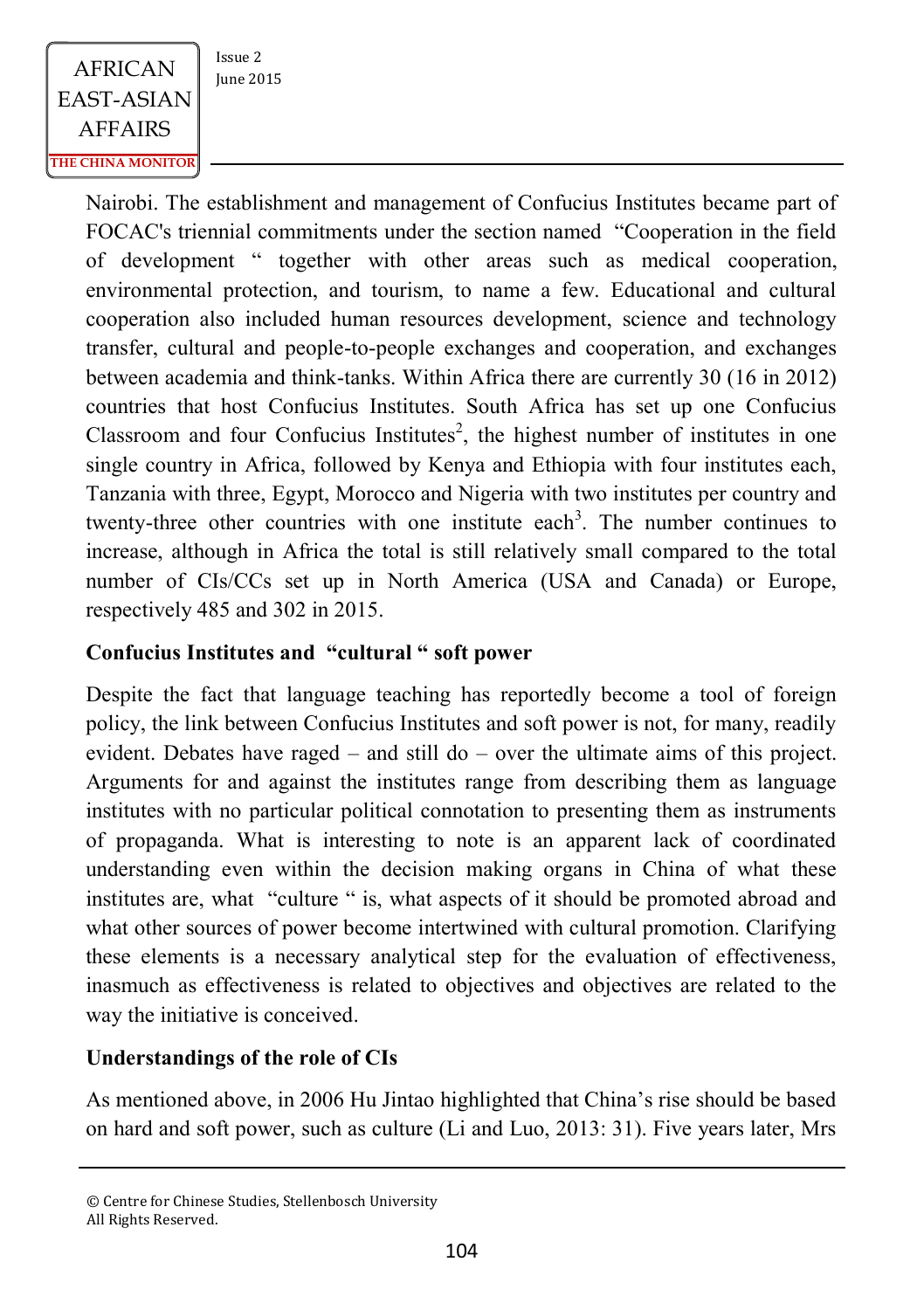

Nairobi. The establishment and management of Confucius Institutes became part of FOCAC's triennial commitments under the section named "Cooperation in the field of development " together with other areas such as medical cooperation, environmental protection, and tourism, to name a few. Educational and cultural cooperation also included human resources development, science and technology transfer, cultural and people-to-people exchanges and cooperation, and exchanges between academia and think-tanks. Within Africa there are currently 30 (16 in 2012) countries that host Confucius Institutes. South Africa has set up one Confucius Classroom and four Confucius Institutes<sup>2</sup>, the highest number of institutes in one single country in Africa, followed by Kenya and Ethiopia with four institutes each, Tanzania with three, Egypt, Morocco and Nigeria with two institutes per country and twenty-three other countries with one institute each<sup>3</sup>. The number continues to increase, although in Africa the total is still relatively small compared to the total number of CIs/CCs set up in North America (USA and Canada) or Europe, respectively 485 and 302 in 2015.

### **Confucius Institutes and "cultural " soft power**

Despite the fact that language teaching has reportedly become a tool of foreign policy, the link between Confucius Institutes and soft power is not, for many, readily evident. Debates have raged – and still do – over the ultimate aims of this project. Arguments for and against the institutes range from describing them as language institutes with no particular political connotation to presenting them as instruments of propaganda. What is interesting to note is an apparent lack of coordinated understanding even within the decision making organs in China of what these institutes are, what "culture " is, what aspects of it should be promoted abroad and what other sources of power become intertwined with cultural promotion. Clarifying these elements is a necessary analytical step for the evaluation of effectiveness, inasmuch as effectiveness is related to objectives and objectives are related to the way the initiative is conceived.

### **Understandings of the role of CIs**

As mentioned above, in 2006 Hu Jintao highlighted that China's rise should be based on hard and soft power, such as culture (Li and Luo, 2013: 31). Five years later, Mrs

<sup>©</sup> Centre for Chinese Studies, Stellenbosch University All Rights Reserved.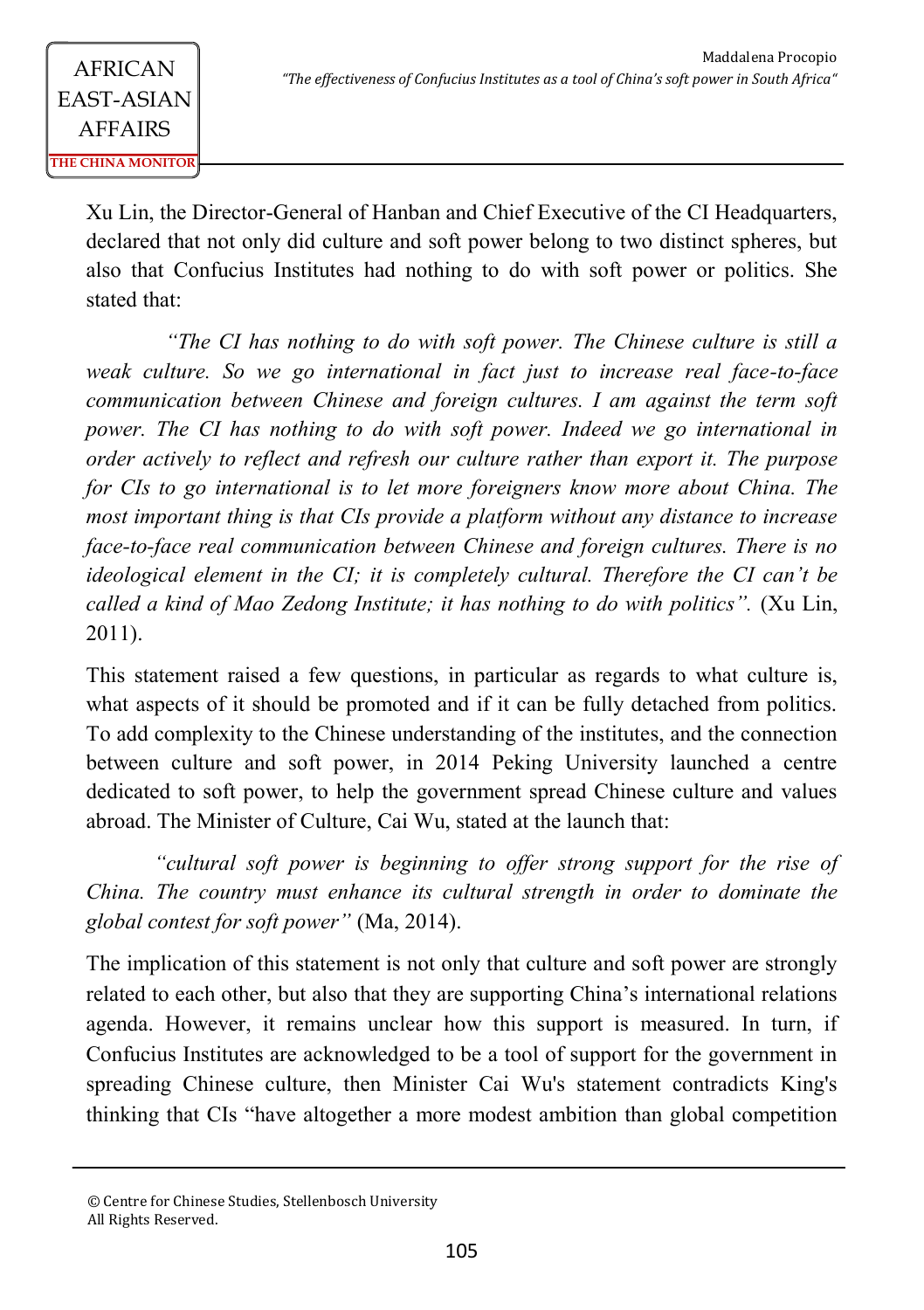Xu Lin, the Director-General of Hanban and Chief Executive of the CI Headquarters, declared that not only did culture and soft power belong to two distinct spheres, but also that Confucius Institutes had nothing to do with soft power or politics. She stated that:

*"The CI has nothing to do with soft power. The Chinese culture is still a weak culture. So we go international in fact just to increase real face-to-face communication between Chinese and foreign cultures. I am against the term soft power. The CI has nothing to do with soft power. Indeed we go international in order actively to reflect and refresh our culture rather than export it. The purpose for CIs to go international is to let more foreigners know more about China. The most important thing is that CIs provide a platform without any distance to increase face-to-face real communication between Chinese and foreign cultures. There is no ideological element in the CI; it is completely cultural. Therefore the CI can't be called a kind of Mao Zedong Institute; it has nothing to do with politics".* (Xu Lin, 2011).

This statement raised a few questions, in particular as regards to what culture is, what aspects of it should be promoted and if it can be fully detached from politics. To add complexity to the Chinese understanding of the institutes, and the connection between culture and soft power, in 2014 Peking University launched a centre dedicated to soft power, to help the government spread Chinese culture and values abroad. The Minister of Culture, Cai Wu, stated at the launch that:

*"cultural soft power is beginning to offer strong support for the rise of China. The country must enhance its cultural strength in order to dominate the global contest for soft power"* (Ma, 2014).

The implication of this statement is not only that culture and soft power are strongly related to each other, but also that they are supporting China's international relations agenda. However, it remains unclear how this support is measured. In turn, if Confucius Institutes are acknowledged to be a tool of support for the government in spreading Chinese culture, then Minister Cai Wu's statement contradicts King's thinking that CIs "have altogether a more modest ambition than global competition

<sup>©</sup> Centre for Chinese Studies, Stellenbosch University All Rights Reserved.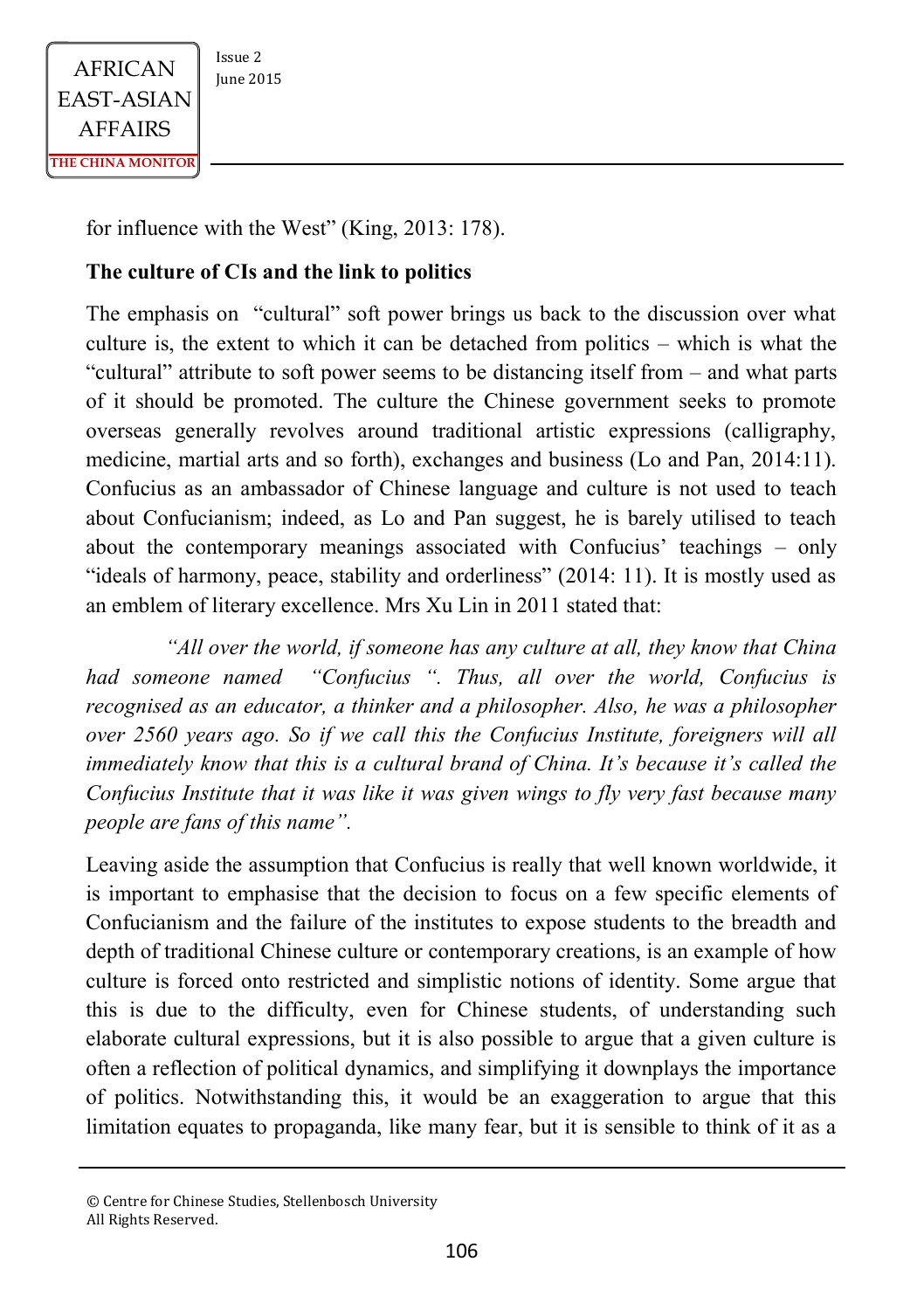

for influence with the West" (King, 2013: 178).

#### **The culture of CIs and the link to politics**

The emphasis on "cultural" soft power brings us back to the discussion over what culture is, the extent to which it can be detached from politics – which is what the "cultural" attribute to soft power seems to be distancing itself from – and what parts of it should be promoted. The culture the Chinese government seeks to promote overseas generally revolves around traditional artistic expressions (calligraphy, medicine, martial arts and so forth), exchanges and business (Lo and Pan, 2014:11). Confucius as an ambassador of Chinese language and culture is not used to teach about Confucianism; indeed, as Lo and Pan suggest, he is barely utilised to teach about the contemporary meanings associated with Confucius' teachings – only "ideals of harmony, peace, stability and orderliness" (2014: 11). It is mostly used as an emblem of literary excellence. Mrs Xu Lin in 2011 stated that:

*"All over the world, if someone has any culture at all, they know that China had someone named "Confucius ". Thus, all over the world, Confucius is recognised as an educator, a thinker and a philosopher. Also, he was a philosopher over 2560 years ago. So if we call this the Confucius Institute, foreigners will all immediately know that this is a cultural brand of China. It's because it's called the Confucius Institute that it was like it was given wings to fly very fast because many people are fans of this name".*

Leaving aside the assumption that Confucius is really that well known worldwide, it is important to emphasise that the decision to focus on a few specific elements of Confucianism and the failure of the institutes to expose students to the breadth and depth of traditional Chinese culture or contemporary creations, is an example of how culture is forced onto restricted and simplistic notions of identity. Some argue that this is due to the difficulty, even for Chinese students, of understanding such elaborate cultural expressions, but it is also possible to argue that a given culture is often a reflection of political dynamics, and simplifying it downplays the importance of politics. Notwithstanding this, it would be an exaggeration to argue that this limitation equates to propaganda, like many fear, but it is sensible to think of it as a

<sup>©</sup> Centre for Chinese Studies, Stellenbosch University All Rights Reserved.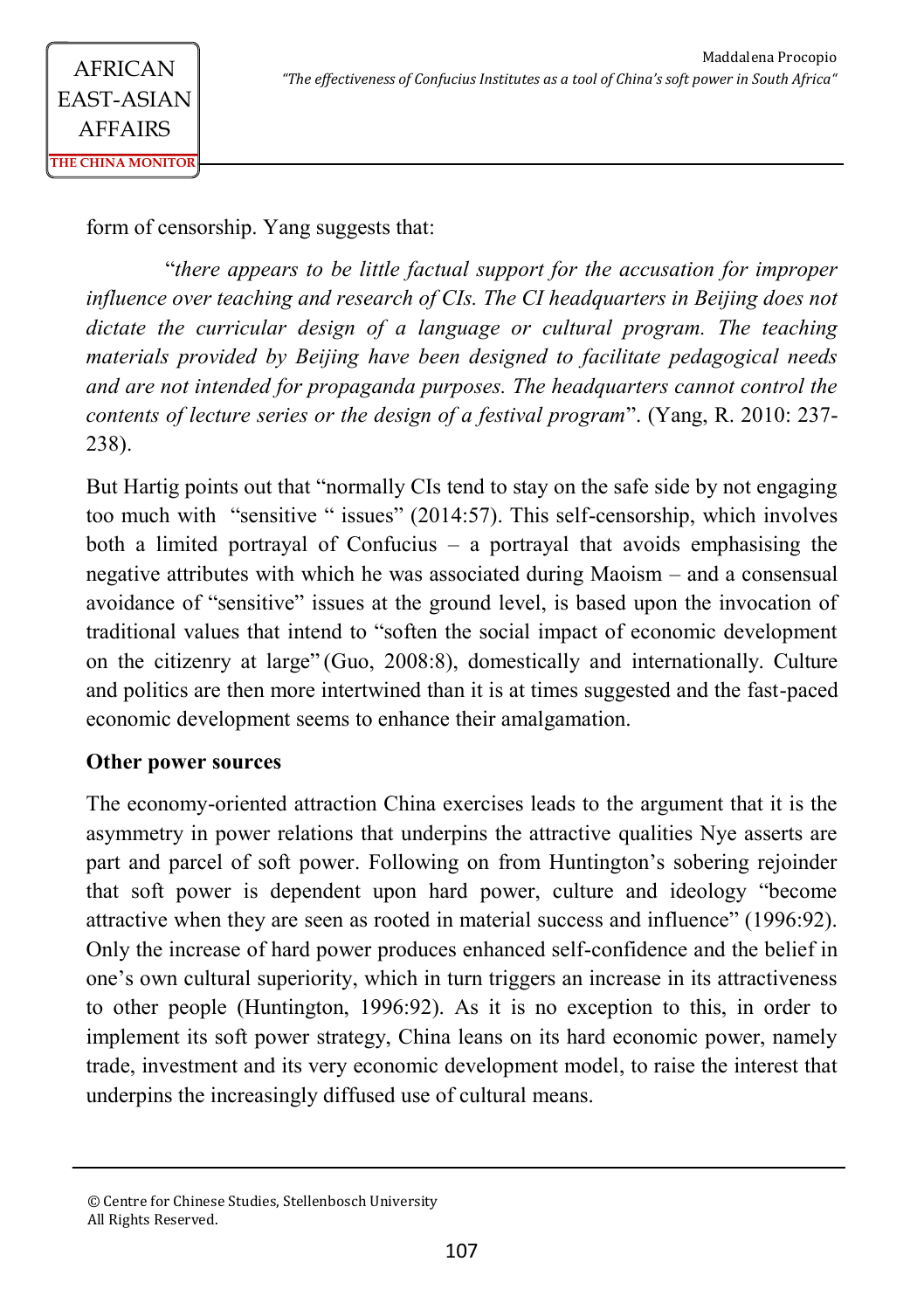form of censorship. Yang suggests that:

"*there appears to be little factual support for the accusation for improper influence over teaching and research of CIs. The CI headquarters in Beijing does not dictate the curricular design of a language or cultural program. The teaching materials provided by Beijing have been designed to facilitate pedagogical needs and are not intended for propaganda purposes. The headquarters cannot control the contents of lecture series or the design of a festival program*". (Yang, R. 2010: 237- 238).

But Hartig points out that "normally CIs tend to stay on the safe side by not engaging too much with "sensitive " issues" (2014:57). This self-censorship, which involves both a limited portrayal of Confucius – a portrayal that avoids emphasising the negative attributes with which he was associated during Maoism – and a consensual avoidance of "sensitive" issues at the ground level, is based upon the invocation of traditional values that intend to "soften the social impact of economic development on the citizenry at large" (Guo, 2008:8), domestically and internationally. Culture and politics are then more intertwined than it is at times suggested and the fast-paced economic development seems to enhance their amalgamation.

### **Other power sources**

The economy-oriented attraction China exercises leads to the argument that it is the asymmetry in power relations that underpins the attractive qualities Nye asserts are part and parcel of soft power. Following on from Huntington's sobering rejoinder that soft power is dependent upon hard power, culture and ideology "become attractive when they are seen as rooted in material success and influence" (1996:92). Only the increase of hard power produces enhanced self-confidence and the belief in one's own cultural superiority, which in turn triggers an increase in its attractiveness to other people (Huntington, 1996:92). As it is no exception to this, in order to implement its soft power strategy, China leans on its hard economic power, namely trade, investment and its very economic development model, to raise the interest that underpins the increasingly diffused use of cultural means.

<sup>©</sup> Centre for Chinese Studies, Stellenbosch University All Rights Reserved.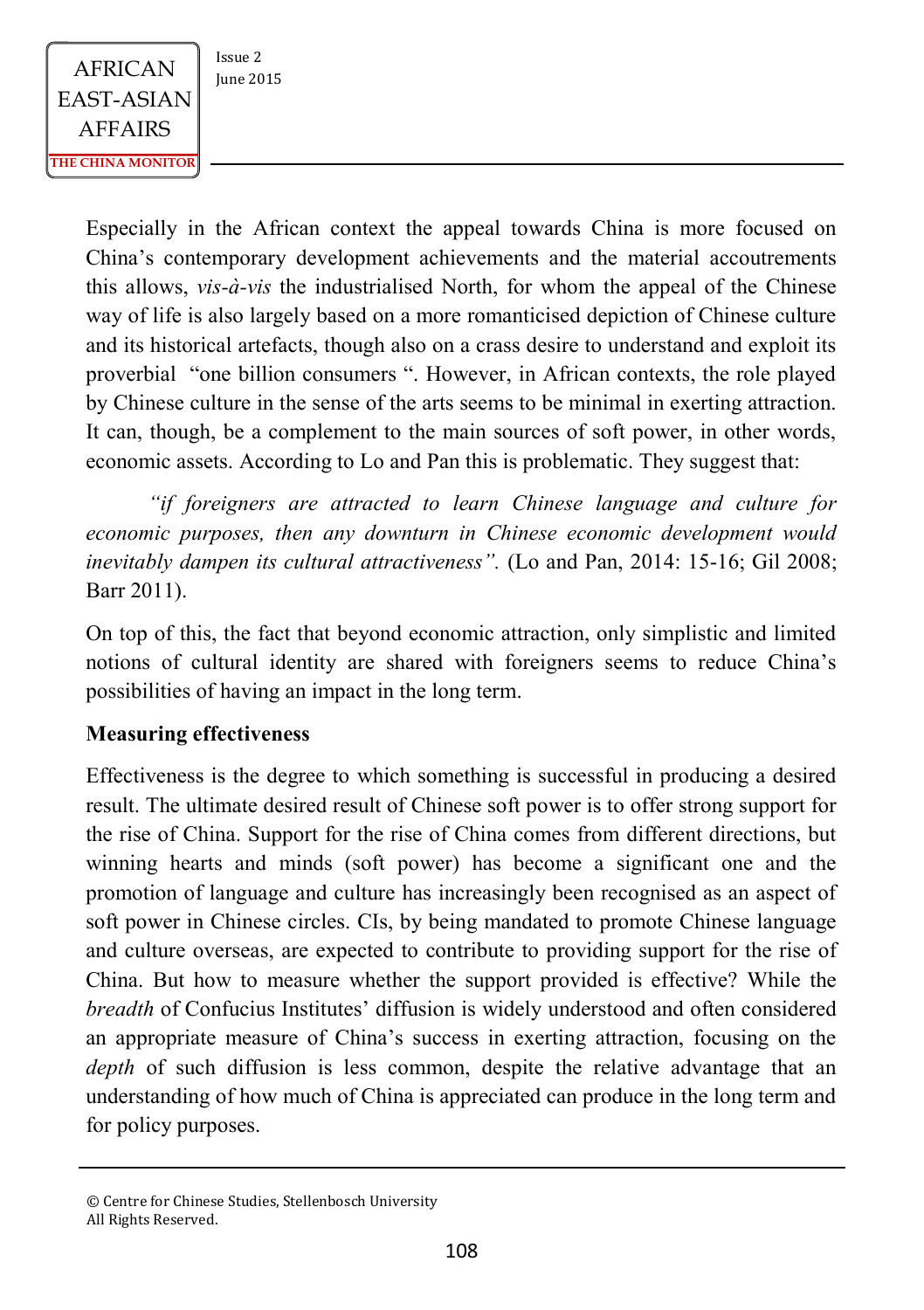$AFRICAN$   $\begin{array}{|c|c|} \n \hline \n \text{Issue 2} & \n \text{Iunie 2015} \n \end{array}$ EAST-ASIAN AFFAIRS **THE CHINA MONITOR**

Especially in the African context the appeal towards China is more focused on China's contemporary development achievements and the material accoutrements this allows, *vis-à-vis* the industrialised North, for whom the appeal of the Chinese way of life is also largely based on a more romanticised depiction of Chinese culture and its historical artefacts, though also on a crass desire to understand and exploit its proverbial "one billion consumers ". However, in African contexts, the role played by Chinese culture in the sense of the arts seems to be minimal in exerting attraction. It can, though, be a complement to the main sources of soft power, in other words, economic assets. According to Lo and Pan this is problematic. They suggest that:

*"if foreigners are attracted to learn Chinese language and culture for economic purposes, then any downturn in Chinese economic development would inevitably dampen its cultural attractiveness".* (Lo and Pan, 2014: 15-16; Gil 2008; Barr 2011).

On top of this, the fact that beyond economic attraction, only simplistic and limited notions of cultural identity are shared with foreigners seems to reduce China's possibilities of having an impact in the long term.

### **Measuring effectiveness**

Effectiveness is the degree to which something is successful in producing a desired result. The ultimate desired result of Chinese soft power is to offer strong support for the rise of China. Support for the rise of China comes from different directions, but winning hearts and minds (soft power) has become a significant one and the promotion of language and culture has increasingly been recognised as an aspect of soft power in Chinese circles. CIs, by being mandated to promote Chinese language and culture overseas, are expected to contribute to providing support for the rise of China. But how to measure whether the support provided is effective? While the *breadth* of Confucius Institutes' diffusion is widely understood and often considered an appropriate measure of China's success in exerting attraction, focusing on the *depth* of such diffusion is less common, despite the relative advantage that an understanding of how much of China is appreciated can produce in the long term and for policy purposes.

<sup>©</sup> Centre for Chinese Studies, Stellenbosch University All Rights Reserved.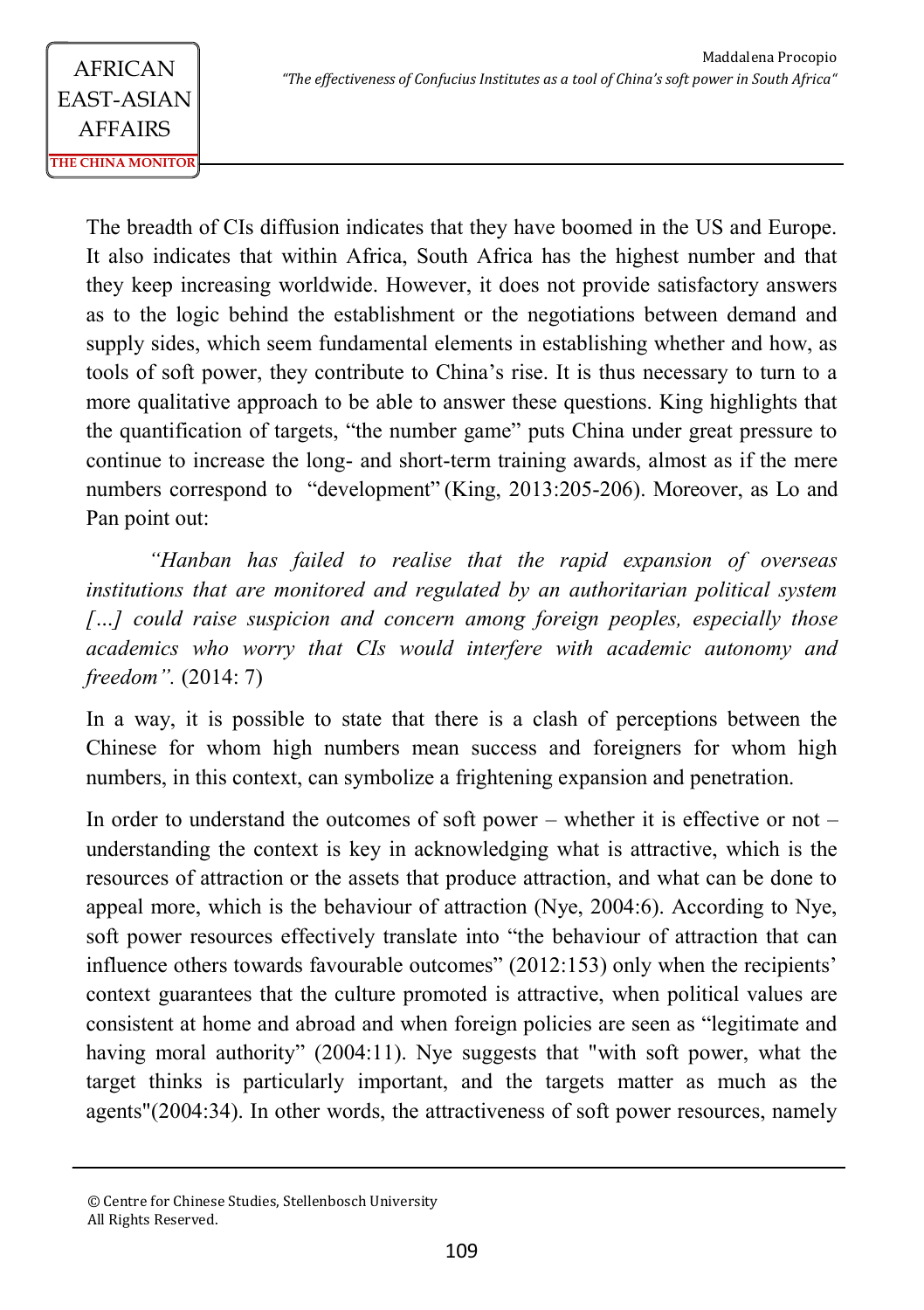The breadth of CIs diffusion indicates that they have boomed in the US and Europe. It also indicates that within Africa, South Africa has the highest number and that they keep increasing worldwide. However, it does not provide satisfactory answers as to the logic behind the establishment or the negotiations between demand and supply sides, which seem fundamental elements in establishing whether and how, as tools of soft power, they contribute to China's rise. It is thus necessary to turn to a more qualitative approach to be able to answer these questions. King highlights that the quantification of targets, "the number game" puts China under great pressure to continue to increase the long- and short-term training awards, almost as if the mere numbers correspond to "development" (King, 2013:205-206). Moreover, as Lo and Pan point out:

*"Hanban has failed to realise that the rapid expansion of overseas institutions that are monitored and regulated by an authoritarian political system*  […] could raise suspicion and concern among foreign peoples, especially those *academics who worry that CIs would interfere with academic autonomy and freedom".* (2014: 7)

In a way, it is possible to state that there is a clash of perceptions between the Chinese for whom high numbers mean success and foreigners for whom high numbers, in this context, can symbolize a frightening expansion and penetration.

In order to understand the outcomes of soft power – whether it is effective or not – understanding the context is key in acknowledging what is attractive, which is the resources of attraction or the assets that produce attraction, and what can be done to appeal more, which is the behaviour of attraction (Nye, 2004:6). According to Nye, soft power resources effectively translate into "the behaviour of attraction that can influence others towards favourable outcomes" (2012:153) only when the recipients' context guarantees that the culture promoted is attractive, when political values are consistent at home and abroad and when foreign policies are seen as "legitimate and having moral authority" (2004:11). Nye suggests that "with soft power, what the target thinks is particularly important, and the targets matter as much as the agents"(2004:34). In other words, the attractiveness of soft power resources, namely

<sup>©</sup> Centre for Chinese Studies, Stellenbosch University All Rights Reserved.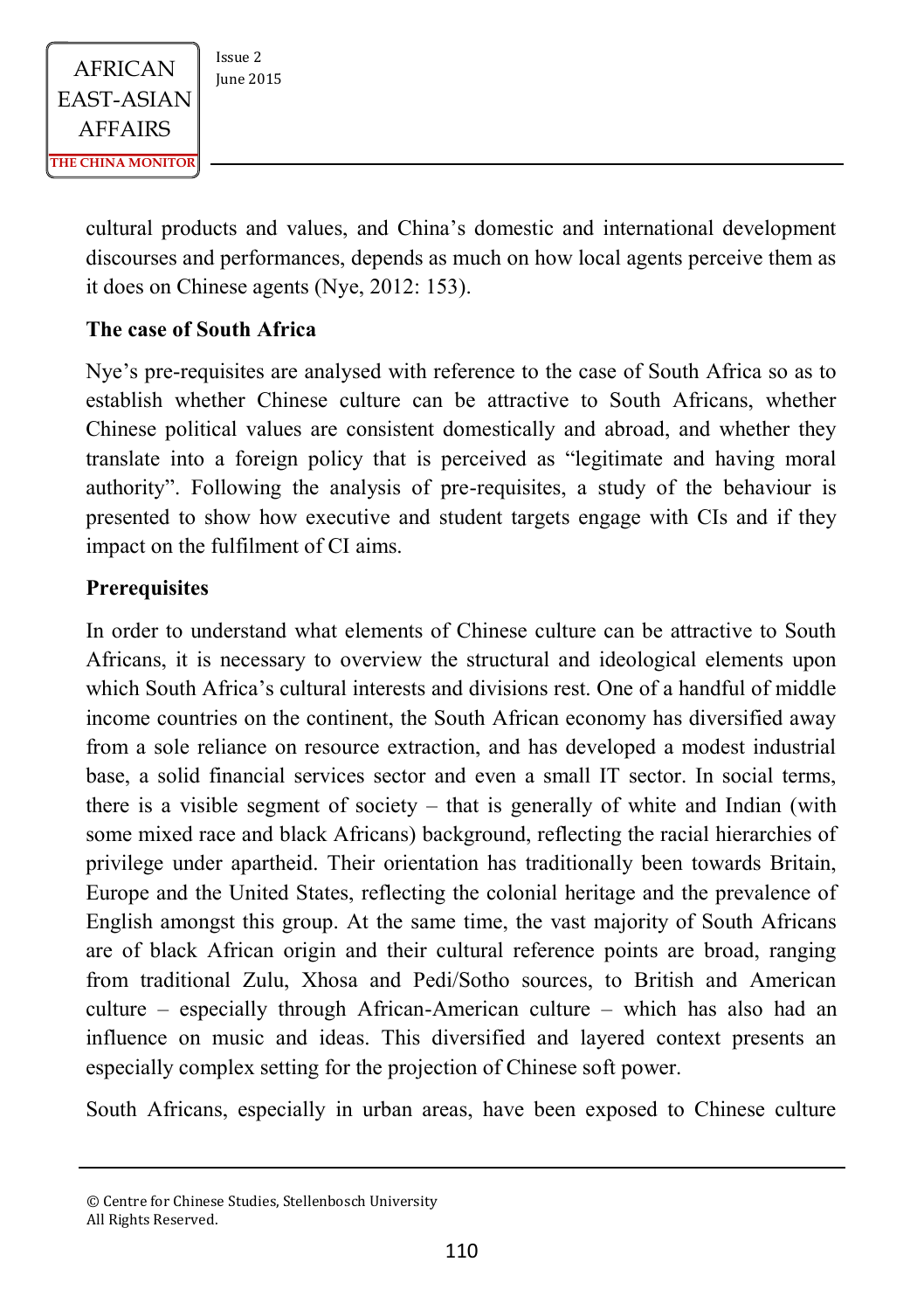cultural products and values, and China's domestic and international development discourses and performances, depends as much on how local agents perceive them as it does on Chinese agents (Nye, 2012: 153).

### **The case of South Africa**

Nye's pre-requisites are analysed with reference to the case of South Africa so as to establish whether Chinese culture can be attractive to South Africans, whether Chinese political values are consistent domestically and abroad, and whether they translate into a foreign policy that is perceived as "legitimate and having moral authority". Following the analysis of pre-requisites, a study of the behaviour is presented to show how executive and student targets engage with CIs and if they impact on the fulfilment of CI aims.

#### **Prerequisites**

In order to understand what elements of Chinese culture can be attractive to South Africans, it is necessary to overview the structural and ideological elements upon which South Africa's cultural interests and divisions rest. One of a handful of middle income countries on the continent, the South African economy has diversified away from a sole reliance on resource extraction, and has developed a modest industrial base, a solid financial services sector and even a small IT sector. In social terms, there is a visible segment of society – that is generally of white and Indian (with some mixed race and black Africans) background, reflecting the racial hierarchies of privilege under apartheid. Their orientation has traditionally been towards Britain, Europe and the United States, reflecting the colonial heritage and the prevalence of English amongst this group. At the same time, the vast majority of South Africans are of black African origin and their cultural reference points are broad, ranging from traditional Zulu, Xhosa and Pedi/Sotho sources, to British and American culture – especially through African-American culture – which has also had an influence on music and ideas. This diversified and layered context presents an especially complex setting for the projection of Chinese soft power.

South Africans, especially in urban areas, have been exposed to Chinese culture

<sup>©</sup> Centre for Chinese Studies, Stellenbosch University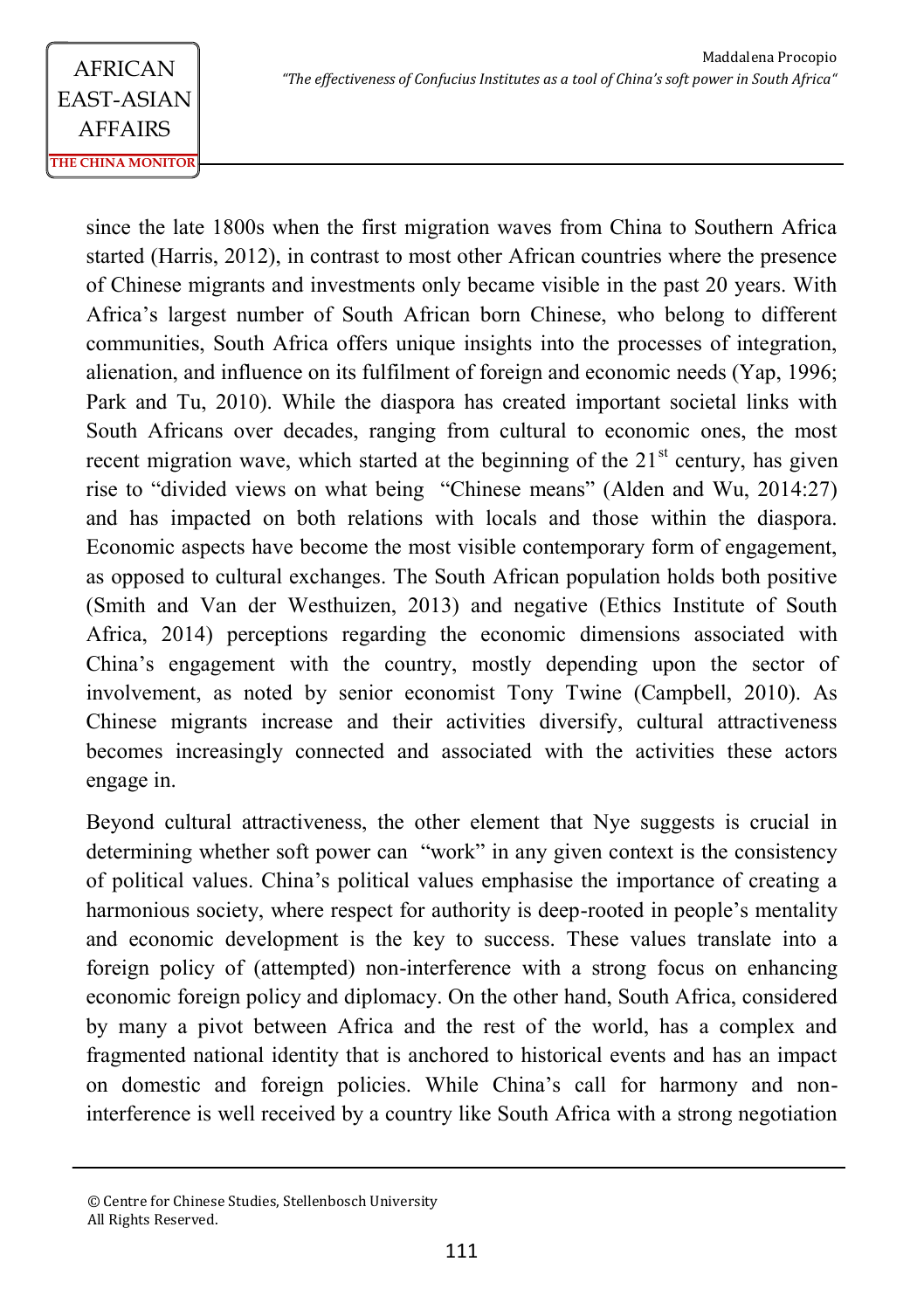since the late 1800s when the first migration waves from China to Southern Africa started (Harris, 2012), in contrast to most other African countries where the presence of Chinese migrants and investments only became visible in the past 20 years. With Africa's largest number of South African born Chinese, who belong to different communities, South Africa offers unique insights into the processes of integration, alienation, and influence on its fulfilment of foreign and economic needs (Yap, 1996; Park and Tu, 2010). While the diaspora has created important societal links with South Africans over decades, ranging from cultural to economic ones, the most recent migration wave, which started at the beginning of the  $21<sup>st</sup>$  century, has given rise to "divided views on what being "Chinese means" (Alden and Wu, 2014:27) and has impacted on both relations with locals and those within the diaspora. Economic aspects have become the most visible contemporary form of engagement, as opposed to cultural exchanges. The South African population holds both positive (Smith and Van der Westhuizen, 2013) and negative (Ethics Institute of South Africa, 2014) perceptions regarding the economic dimensions associated with China's engagement with the country, mostly depending upon the sector of involvement, as noted by senior economist Tony Twine (Campbell, 2010). As Chinese migrants increase and their activities diversify, cultural attractiveness becomes increasingly connected and associated with the activities these actors engage in.

Beyond cultural attractiveness, the other element that Nye suggests is crucial in determining whether soft power can "work" in any given context is the consistency of political values. China's political values emphasise the importance of creating a harmonious society, where respect for authority is deep-rooted in people's mentality and economic development is the key to success. These values translate into a foreign policy of (attempted) non-interference with a strong focus on enhancing economic foreign policy and diplomacy. On the other hand, South Africa, considered by many a pivot between Africa and the rest of the world, has a complex and fragmented national identity that is anchored to historical events and has an impact on domestic and foreign policies. While China's call for harmony and noninterference is well received by a country like South Africa with a strong negotiation

<sup>©</sup> Centre for Chinese Studies, Stellenbosch University All Rights Reserved.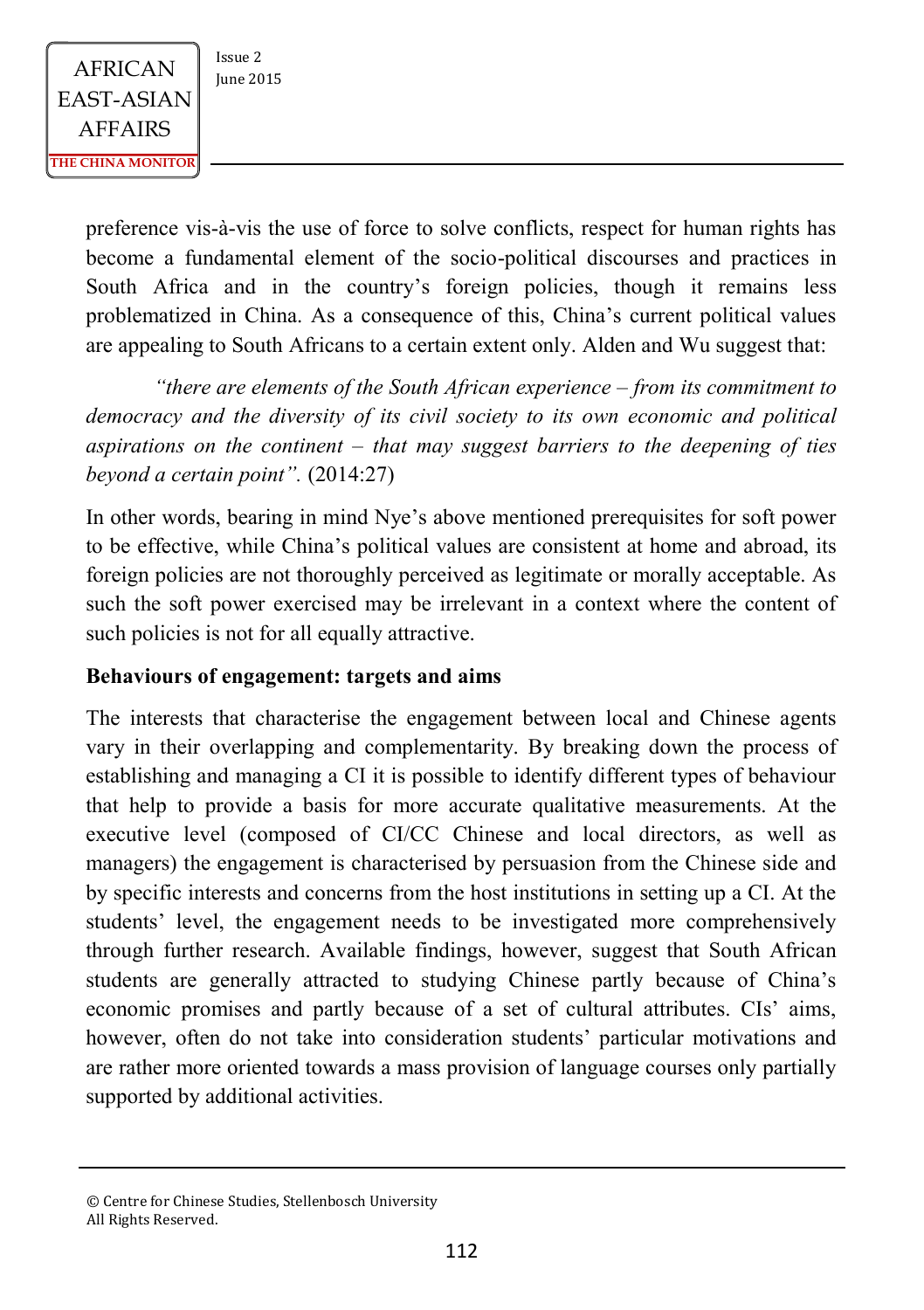$AFRICAN$   $\begin{array}{|c|c|} \n \hline \n \text{Issue 2} & \n \text{Iunie 2015} \n \end{array}$ EAST-ASIAN AFFAIRS **THE CHINA MONITOR**

preference vis-à-vis the use of force to solve conflicts, respect for human rights has become a fundamental element of the socio-political discourses and practices in South Africa and in the country's foreign policies, though it remains less problematized in China. As a consequence of this, China's current political values are appealing to South Africans to a certain extent only. Alden and Wu suggest that:

*"there are elements of the South African experience – from its commitment to democracy and the diversity of its civil society to its own economic and political aspirations on the continent – that may suggest barriers to the deepening of ties beyond a certain point".* (2014:27)

In other words, bearing in mind Nye's above mentioned prerequisites for soft power to be effective, while China's political values are consistent at home and abroad, its foreign policies are not thoroughly perceived as legitimate or morally acceptable. As such the soft power exercised may be irrelevant in a context where the content of such policies is not for all equally attractive.

### **Behaviours of engagement: targets and aims**

The interests that characterise the engagement between local and Chinese agents vary in their overlapping and complementarity. By breaking down the process of establishing and managing a CI it is possible to identify different types of behaviour that help to provide a basis for more accurate qualitative measurements. At the executive level (composed of CI/CC Chinese and local directors, as well as managers) the engagement is characterised by persuasion from the Chinese side and by specific interests and concerns from the host institutions in setting up a CI. At the students' level, the engagement needs to be investigated more comprehensively through further research. Available findings, however, suggest that South African students are generally attracted to studying Chinese partly because of China's economic promises and partly because of a set of cultural attributes. CIs' aims, however, often do not take into consideration students' particular motivations and are rather more oriented towards a mass provision of language courses only partially supported by additional activities.

<sup>©</sup> Centre for Chinese Studies, Stellenbosch University All Rights Reserved.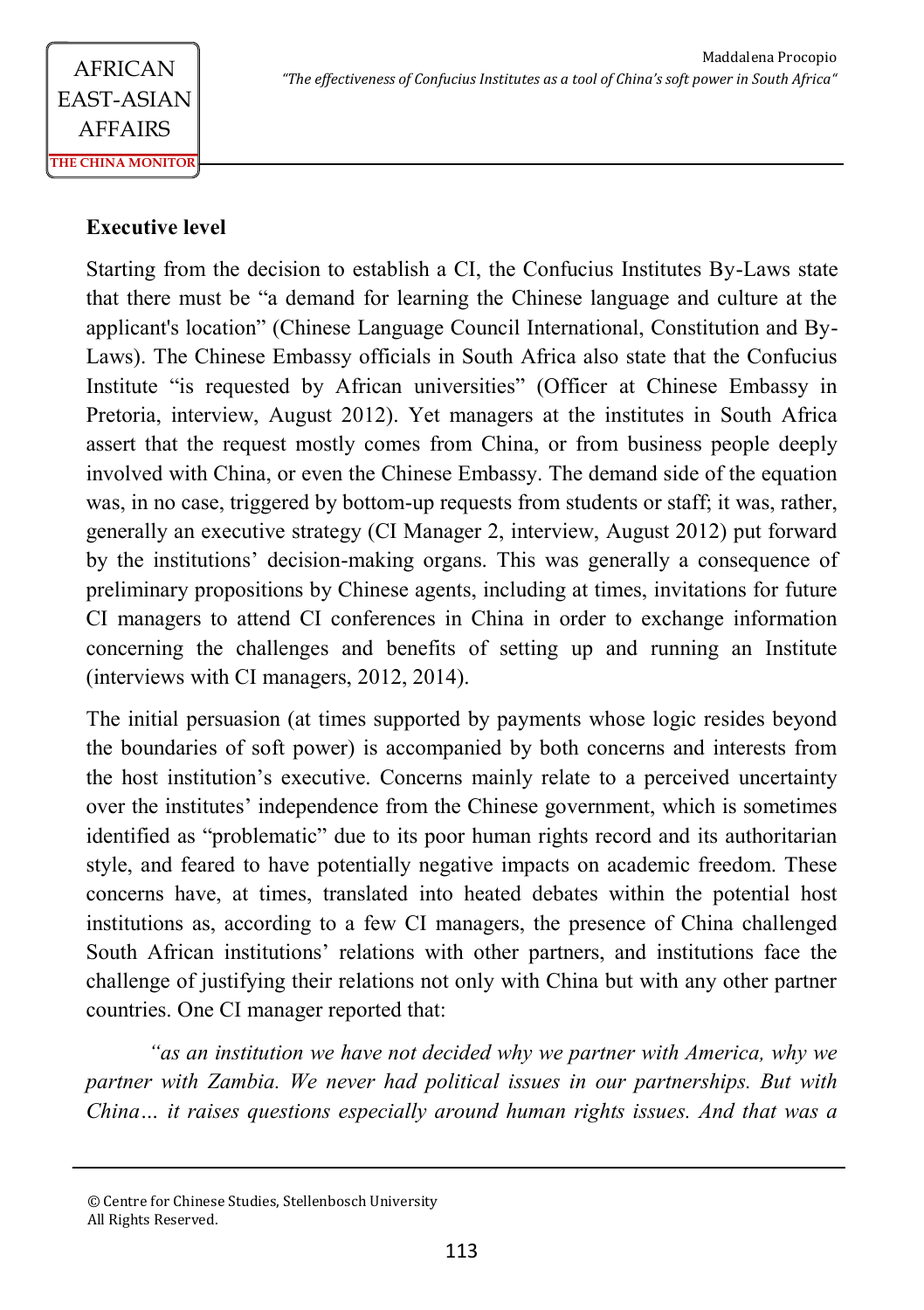### **Executive level**

Starting from the decision to establish a CI, the Confucius Institutes By-Laws state that there must be "a demand for learning the Chinese language and culture at the applicant's location" (Chinese Language Council International, Constitution and By-Laws). The Chinese Embassy officials in South Africa also state that the Confucius Institute "is requested by African universities" (Officer at Chinese Embassy in Pretoria, interview, August 2012). Yet managers at the institutes in South Africa assert that the request mostly comes from China, or from business people deeply involved with China, or even the Chinese Embassy. The demand side of the equation was, in no case, triggered by bottom-up requests from students or staff; it was, rather, generally an executive strategy (CI Manager 2, interview, August 2012) put forward by the institutions' decision-making organs. This was generally a consequence of preliminary propositions by Chinese agents, including at times, invitations for future CI managers to attend CI conferences in China in order to exchange information concerning the challenges and benefits of setting up and running an Institute (interviews with CI managers, 2012, 2014).

The initial persuasion (at times supported by payments whose logic resides beyond the boundaries of soft power) is accompanied by both concerns and interests from the host institution's executive. Concerns mainly relate to a perceived uncertainty over the institutes' independence from the Chinese government, which is sometimes identified as "problematic" due to its poor human rights record and its authoritarian style, and feared to have potentially negative impacts on academic freedom. These concerns have, at times, translated into heated debates within the potential host institutions as, according to a few CI managers, the presence of China challenged South African institutions' relations with other partners, and institutions face the challenge of justifying their relations not only with China but with any other partner countries. One CI manager reported that:

*"as an institution we have not decided why we partner with America, why we partner with Zambia. We never had political issues in our partnerships. But with China… it raises questions especially around human rights issues. And that was a* 

<sup>©</sup> Centre for Chinese Studies, Stellenbosch University All Rights Reserved.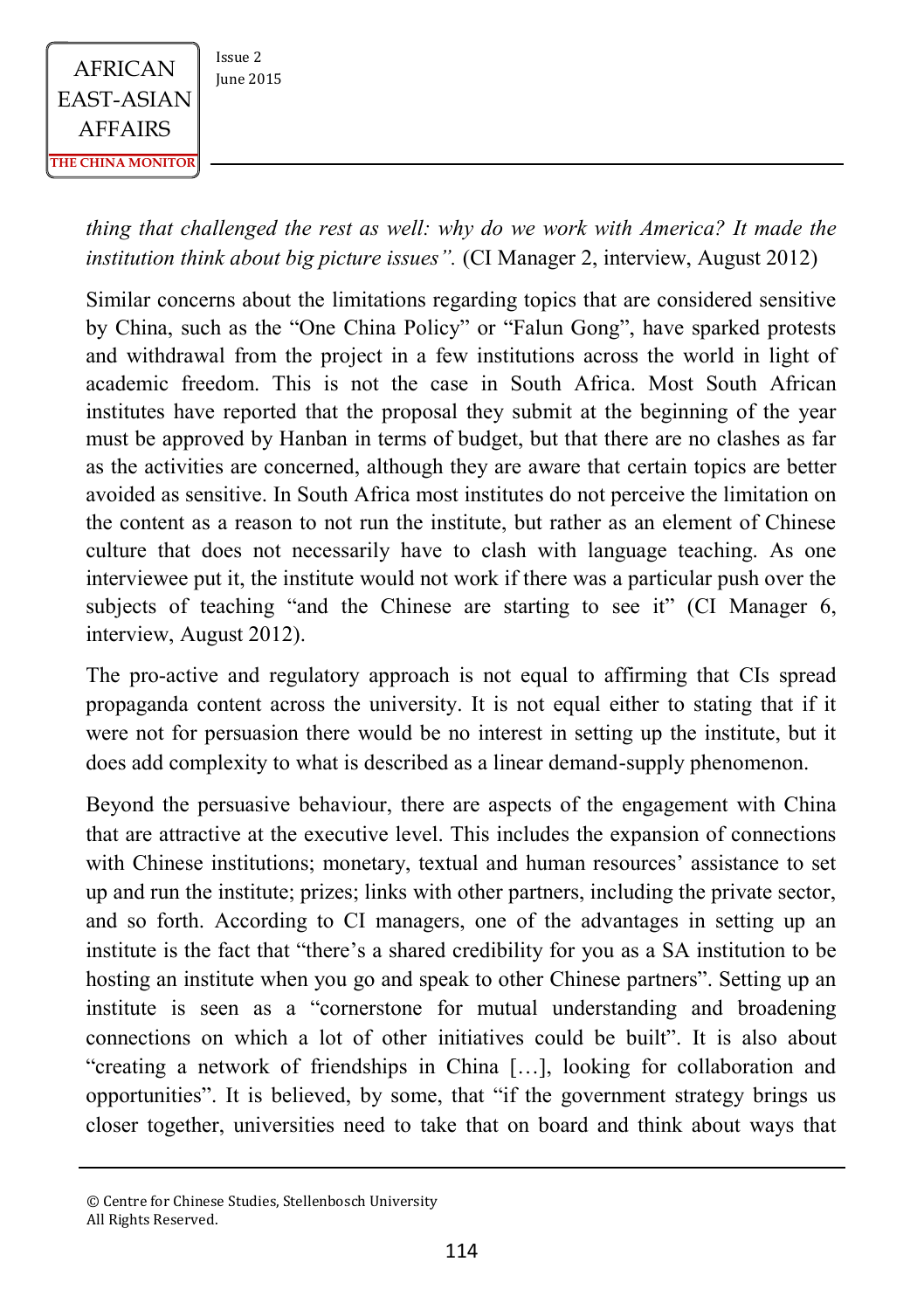

*thing that challenged the rest as well: why do we work with America? It made the institution think about big picture issues".* (CI Manager 2, interview, August 2012)

Similar concerns about the limitations regarding topics that are considered sensitive by China, such as the "One China Policy" or "Falun Gong", have sparked protests and withdrawal from the project in a few institutions across the world in light of academic freedom. This is not the case in South Africa. Most South African institutes have reported that the proposal they submit at the beginning of the year must be approved by Hanban in terms of budget, but that there are no clashes as far as the activities are concerned, although they are aware that certain topics are better avoided as sensitive. In South Africa most institutes do not perceive the limitation on the content as a reason to not run the institute, but rather as an element of Chinese culture that does not necessarily have to clash with language teaching. As one interviewee put it, the institute would not work if there was a particular push over the subjects of teaching "and the Chinese are starting to see it" (CI Manager 6, interview, August 2012).

The pro-active and regulatory approach is not equal to affirming that CIs spread propaganda content across the university. It is not equal either to stating that if it were not for persuasion there would be no interest in setting up the institute, but it does add complexity to what is described as a linear demand-supply phenomenon.

Beyond the persuasive behaviour, there are aspects of the engagement with China that are attractive at the executive level. This includes the expansion of connections with Chinese institutions; monetary, textual and human resources' assistance to set up and run the institute; prizes; links with other partners, including the private sector, and so forth. According to CI managers, one of the advantages in setting up an institute is the fact that "there's a shared credibility for you as a SA institution to be hosting an institute when you go and speak to other Chinese partners". Setting up an institute is seen as a "cornerstone for mutual understanding and broadening connections on which a lot of other initiatives could be built". It is also about "creating a network of friendships in China […], looking for collaboration and opportunities". It is believed, by some, that "if the government strategy brings us closer together, universities need to take that on board and think about ways that

<sup>©</sup> Centre for Chinese Studies, Stellenbosch University All Rights Reserved.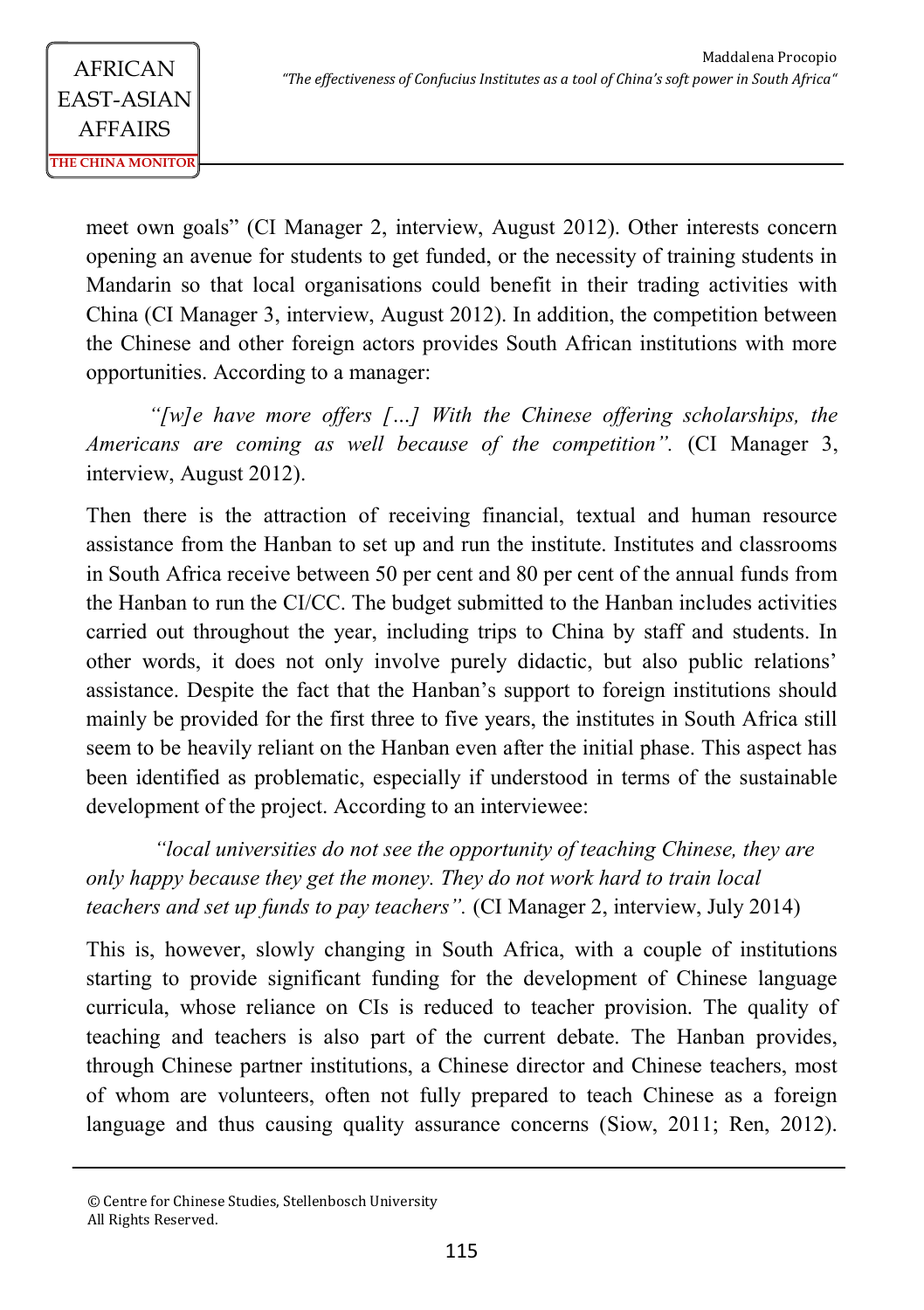meet own goals" (CI Manager 2, interview, August 2012). Other interests concern opening an avenue for students to get funded, or the necessity of training students in Mandarin so that local organisations could benefit in their trading activities with China (CI Manager 3, interview, August 2012). In addition, the competition between the Chinese and other foreign actors provides South African institutions with more opportunities. According to a manager:

*"[w]e have more offers […] With the Chinese offering scholarships, the Americans are coming as well because of the competition".* (CI Manager 3, interview, August 2012).

Then there is the attraction of receiving financial, textual and human resource assistance from the Hanban to set up and run the institute. Institutes and classrooms in South Africa receive between 50 per cent and 80 per cent of the annual funds from the Hanban to run the CI/CC. The budget submitted to the Hanban includes activities carried out throughout the year, including trips to China by staff and students. In other words, it does not only involve purely didactic, but also public relations' assistance. Despite the fact that the Hanban's support to foreign institutions should mainly be provided for the first three to five years, the institutes in South Africa still seem to be heavily reliant on the Hanban even after the initial phase. This aspect has been identified as problematic, especially if understood in terms of the sustainable development of the project. According to an interviewee:

*"local universities do not see the opportunity of teaching Chinese, they are only happy because they get the money. They do not work hard to train local teachers and set up funds to pay teachers".* (CI Manager 2, interview, July 2014)

This is, however, slowly changing in South Africa, with a couple of institutions starting to provide significant funding for the development of Chinese language curricula, whose reliance on CIs is reduced to teacher provision. The quality of teaching and teachers is also part of the current debate. The Hanban provides, through Chinese partner institutions, a Chinese director and Chinese teachers, most of whom are volunteers, often not fully prepared to teach Chinese as a foreign language and thus causing quality assurance concerns (Siow, 2011; Ren, 2012).

<sup>©</sup> Centre for Chinese Studies, Stellenbosch University All Rights Reserved.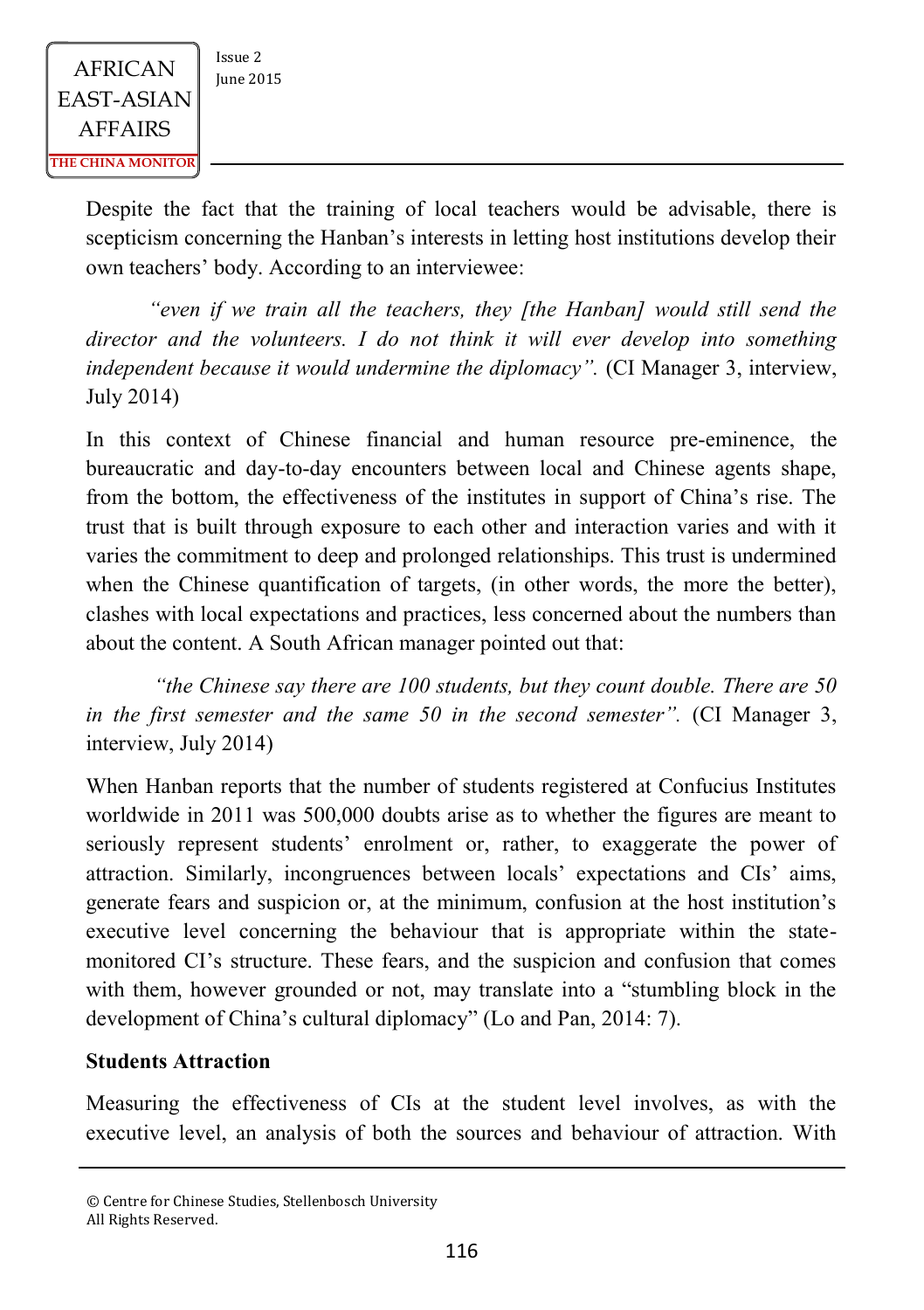Despite the fact that the training of local teachers would be advisable, there is scepticism concerning the Hanban's interests in letting host institutions develop their own teachers' body. According to an interviewee:

*"even if we train all the teachers, they [the Hanban] would still send the director and the volunteers. I do not think it will ever develop into something independent because it would undermine the diplomacy".* (CI Manager 3, interview, July 2014)

In this context of Chinese financial and human resource pre-eminence, the bureaucratic and day-to-day encounters between local and Chinese agents shape, from the bottom, the effectiveness of the institutes in support of China's rise. The trust that is built through exposure to each other and interaction varies and with it varies the commitment to deep and prolonged relationships. This trust is undermined when the Chinese quantification of targets, (in other words, the more the better), clashes with local expectations and practices, less concerned about the numbers than about the content. A South African manager pointed out that:

*"the Chinese say there are 100 students, but they count double. There are 50 in the first semester and the same 50 in the second semester".* (CI Manager 3, interview, July 2014)

When Hanban reports that the number of students registered at Confucius Institutes worldwide in 2011 was 500,000 doubts arise as to whether the figures are meant to seriously represent students' enrolment or, rather, to exaggerate the power of attraction. Similarly, incongruences between locals' expectations and CIs' aims, generate fears and suspicion or, at the minimum, confusion at the host institution's executive level concerning the behaviour that is appropriate within the statemonitored CI's structure. These fears, and the suspicion and confusion that comes with them, however grounded or not, may translate into a "stumbling block in the development of China's cultural diplomacy" (Lo and Pan, 2014: 7).

#### **Students Attraction**

Measuring the effectiveness of CIs at the student level involves, as with the executive level, an analysis of both the sources and behaviour of attraction. With

<sup>©</sup> Centre for Chinese Studies, Stellenbosch University All Rights Reserved.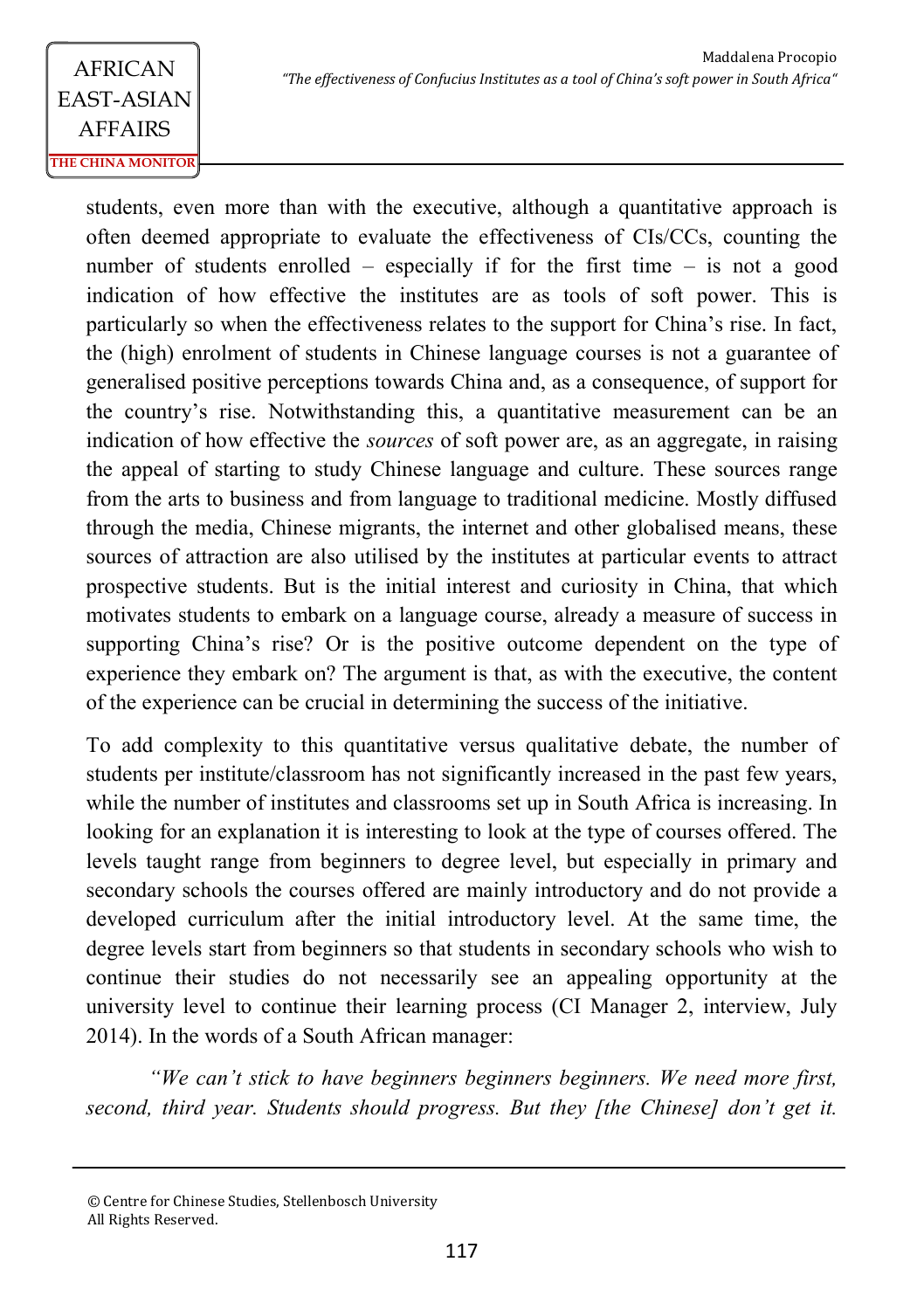students, even more than with the executive, although a quantitative approach is often deemed appropriate to evaluate the effectiveness of CIs/CCs, counting the number of students enrolled – especially if for the first time – is not a good indication of how effective the institutes are as tools of soft power. This is particularly so when the effectiveness relates to the support for China's rise. In fact, the (high) enrolment of students in Chinese language courses is not a guarantee of generalised positive perceptions towards China and, as a consequence, of support for the country's rise. Notwithstanding this, a quantitative measurement can be an indication of how effective the *sources* of soft power are, as an aggregate, in raising the appeal of starting to study Chinese language and culture. These sources range from the arts to business and from language to traditional medicine. Mostly diffused through the media, Chinese migrants, the internet and other globalised means, these sources of attraction are also utilised by the institutes at particular events to attract prospective students. But is the initial interest and curiosity in China, that which motivates students to embark on a language course, already a measure of success in supporting China's rise? Or is the positive outcome dependent on the type of experience they embark on? The argument is that, as with the executive, the content of the experience can be crucial in determining the success of the initiative.

To add complexity to this quantitative versus qualitative debate, the number of students per institute/classroom has not significantly increased in the past few years, while the number of institutes and classrooms set up in South Africa is increasing. In looking for an explanation it is interesting to look at the type of courses offered. The levels taught range from beginners to degree level, but especially in primary and secondary schools the courses offered are mainly introductory and do not provide a developed curriculum after the initial introductory level. At the same time, the degree levels start from beginners so that students in secondary schools who wish to continue their studies do not necessarily see an appealing opportunity at the university level to continue their learning process (CI Manager 2, interview, July 2014). In the words of a South African manager:

*"We can't stick to have beginners beginners beginners. We need more first, second, third year. Students should progress. But they [the Chinese] don't get it.* 

<sup>©</sup> Centre for Chinese Studies, Stellenbosch University All Rights Reserved.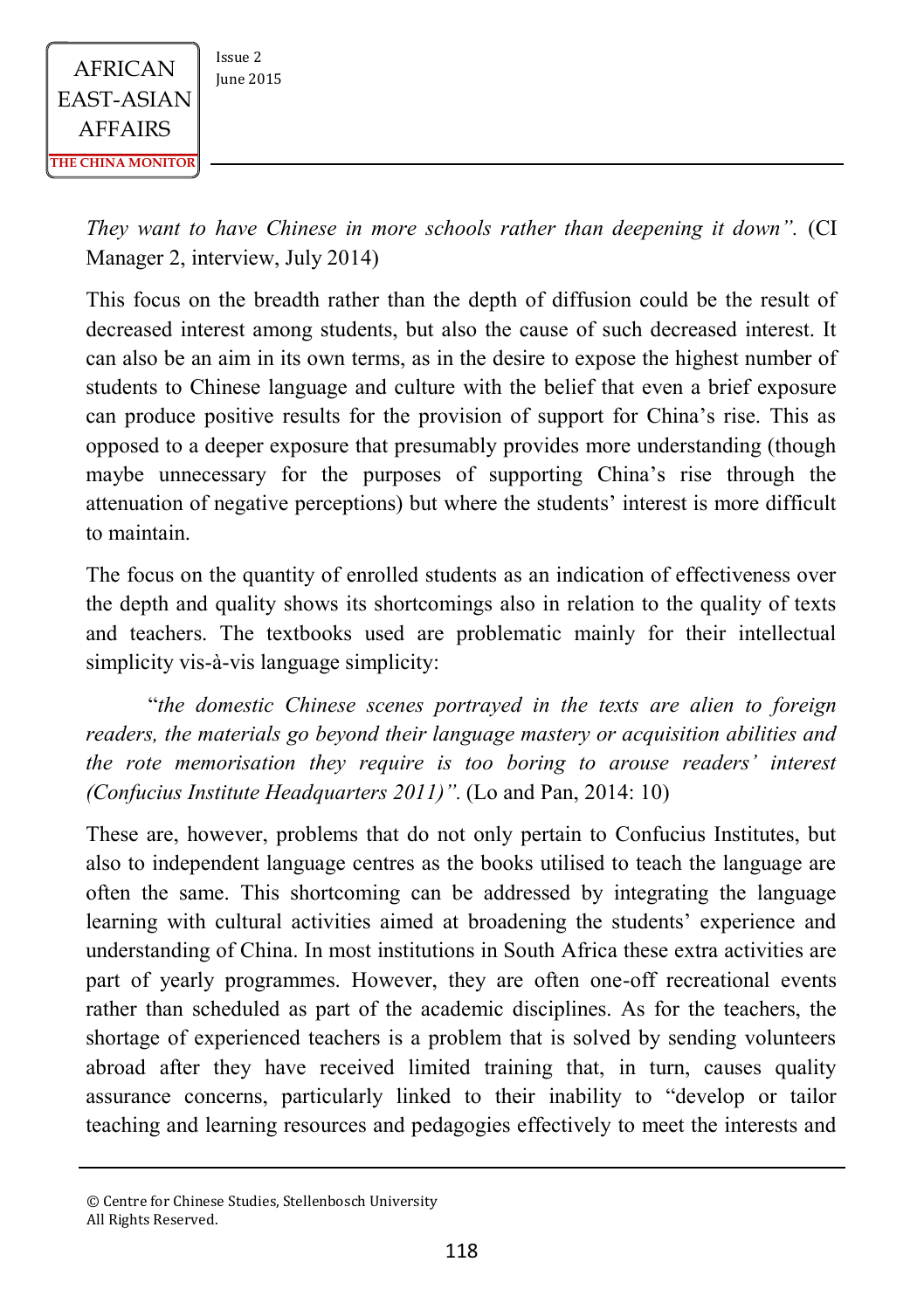

*They want to have Chinese in more schools rather than deepening it down".* (CI Manager 2, interview, July 2014)

This focus on the breadth rather than the depth of diffusion could be the result of decreased interest among students, but also the cause of such decreased interest. It can also be an aim in its own terms, as in the desire to expose the highest number of students to Chinese language and culture with the belief that even a brief exposure can produce positive results for the provision of support for China's rise. This as opposed to a deeper exposure that presumably provides more understanding (though maybe unnecessary for the purposes of supporting China's rise through the attenuation of negative perceptions) but where the students' interest is more difficult to maintain.

The focus on the quantity of enrolled students as an indication of effectiveness over the depth and quality shows its shortcomings also in relation to the quality of texts and teachers. The textbooks used are problematic mainly for their intellectual simplicity vis-à-vis language simplicity:

"*the domestic Chinese scenes portrayed in the texts are alien to foreign readers, the materials go beyond their language mastery or acquisition abilities and the rote memorisation they require is too boring to arouse readers' interest (Confucius Institute Headquarters 2011)".* (Lo and Pan, 2014: 10)

These are, however, problems that do not only pertain to Confucius Institutes, but also to independent language centres as the books utilised to teach the language are often the same. This shortcoming can be addressed by integrating the language learning with cultural activities aimed at broadening the students' experience and understanding of China. In most institutions in South Africa these extra activities are part of yearly programmes. However, they are often one-off recreational events rather than scheduled as part of the academic disciplines. As for the teachers, the shortage of experienced teachers is a problem that is solved by sending volunteers abroad after they have received limited training that, in turn, causes quality assurance concerns, particularly linked to their inability to "develop or tailor teaching and learning resources and pedagogies effectively to meet the interests and

<sup>©</sup> Centre for Chinese Studies, Stellenbosch University All Rights Reserved.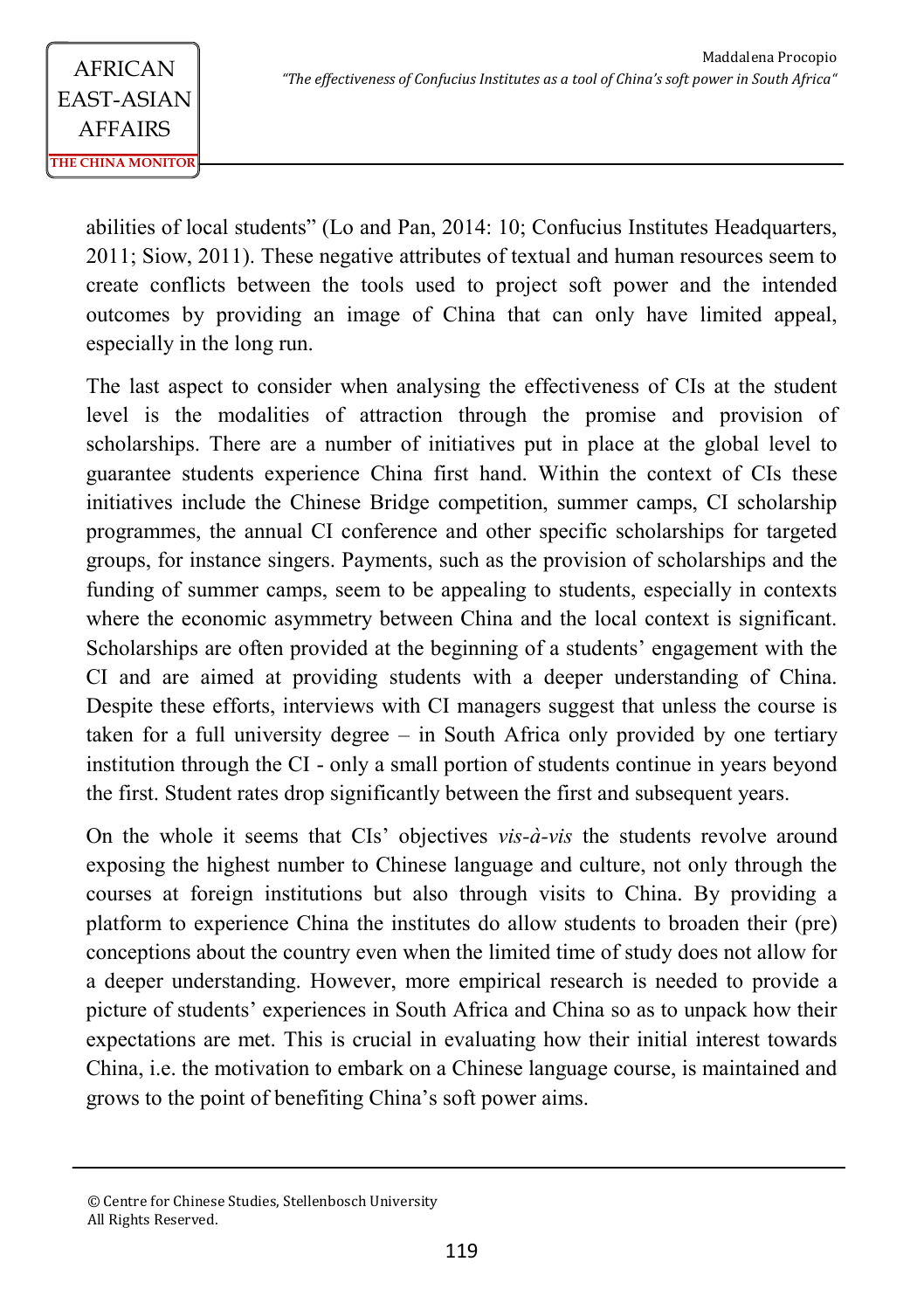abilities of local students" (Lo and Pan, 2014: 10; Confucius Institutes Headquarters, 2011; Siow, 2011). These negative attributes of textual and human resources seem to create conflicts between the tools used to project soft power and the intended outcomes by providing an image of China that can only have limited appeal, especially in the long run.

The last aspect to consider when analysing the effectiveness of CIs at the student level is the modalities of attraction through the promise and provision of scholarships. There are a number of initiatives put in place at the global level to guarantee students experience China first hand. Within the context of CIs these initiatives include the Chinese Bridge competition, summer camps, CI scholarship programmes, the annual CI conference and other specific scholarships for targeted groups, for instance singers. Payments, such as the provision of scholarships and the funding of summer camps, seem to be appealing to students, especially in contexts where the economic asymmetry between China and the local context is significant. Scholarships are often provided at the beginning of a students' engagement with the CI and are aimed at providing students with a deeper understanding of China. Despite these efforts, interviews with CI managers suggest that unless the course is taken for a full university degree – in South Africa only provided by one tertiary institution through the CI - only a small portion of students continue in years beyond the first. Student rates drop significantly between the first and subsequent years.

On the whole it seems that CIs' objectives *vis-à-vis* the students revolve around exposing the highest number to Chinese language and culture, not only through the courses at foreign institutions but also through visits to China. By providing a platform to experience China the institutes do allow students to broaden their (pre) conceptions about the country even when the limited time of study does not allow for a deeper understanding. However, more empirical research is needed to provide a picture of students' experiences in South Africa and China so as to unpack how their expectations are met. This is crucial in evaluating how their initial interest towards China, i.e. the motivation to embark on a Chinese language course, is maintained and grows to the point of benefiting China's soft power aims.

<sup>©</sup> Centre for Chinese Studies, Stellenbosch University All Rights Reserved.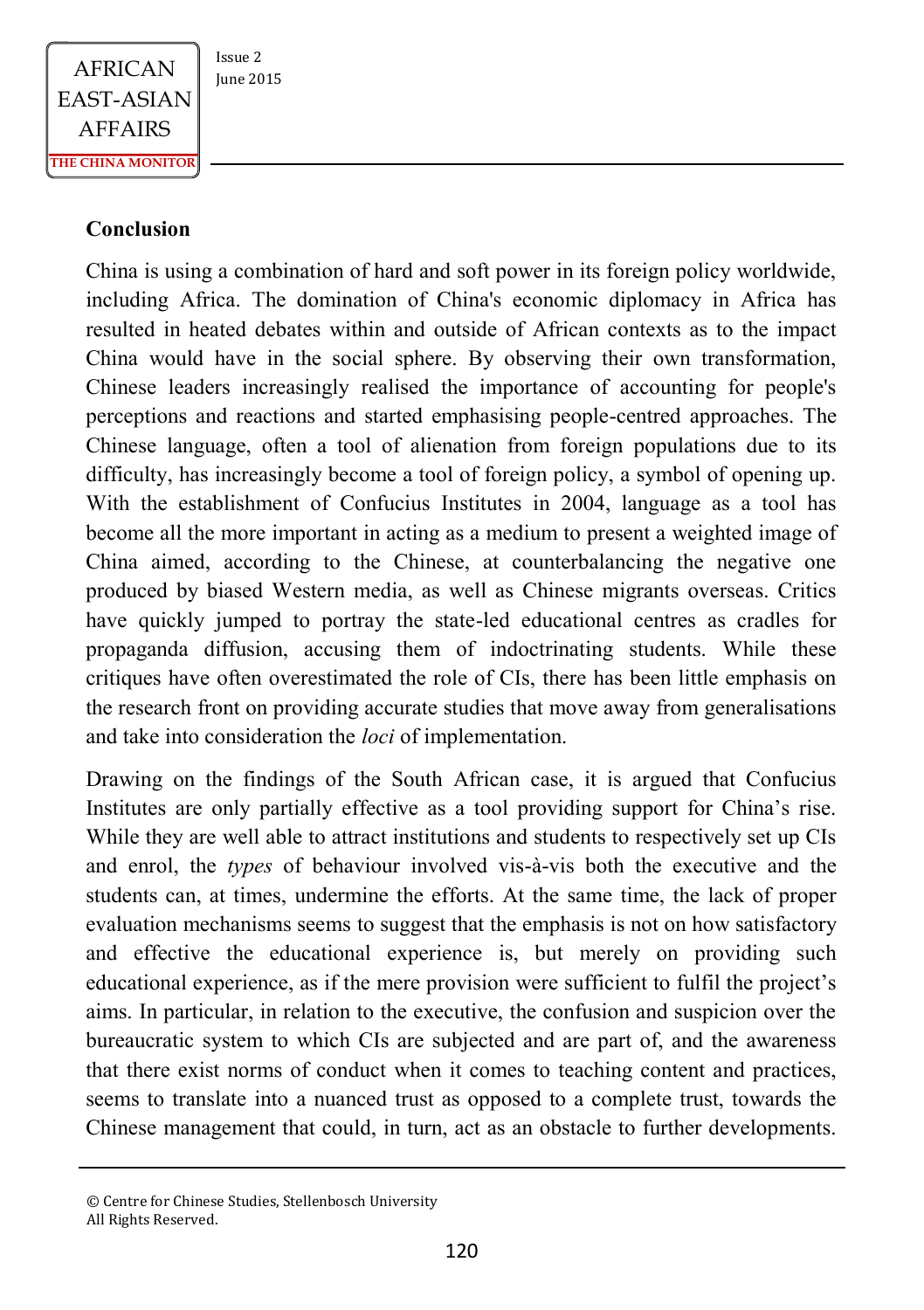

### **Conclusion**

China is using a combination of hard and soft power in its foreign policy worldwide, including Africa. The domination of China's economic diplomacy in Africa has resulted in heated debates within and outside of African contexts as to the impact China would have in the social sphere. By observing their own transformation, Chinese leaders increasingly realised the importance of accounting for people's perceptions and reactions and started emphasising people-centred approaches. The Chinese language, often a tool of alienation from foreign populations due to its difficulty, has increasingly become a tool of foreign policy, a symbol of opening up. With the establishment of Confucius Institutes in 2004, language as a tool has become all the more important in acting as a medium to present a weighted image of China aimed, according to the Chinese, at counterbalancing the negative one produced by biased Western media, as well as Chinese migrants overseas. Critics have quickly jumped to portray the state-led educational centres as cradles for propaganda diffusion, accusing them of indoctrinating students. While these critiques have often overestimated the role of CIs, there has been little emphasis on the research front on providing accurate studies that move away from generalisations and take into consideration the *loci* of implementation.

Drawing on the findings of the South African case, it is argued that Confucius Institutes are only partially effective as a tool providing support for China's rise. While they are well able to attract institutions and students to respectively set up CIs and enrol, the *types* of behaviour involved vis-à-vis both the executive and the students can, at times, undermine the efforts. At the same time, the lack of proper evaluation mechanisms seems to suggest that the emphasis is not on how satisfactory and effective the educational experience is, but merely on providing such educational experience, as if the mere provision were sufficient to fulfil the project's aims. In particular, in relation to the executive, the confusion and suspicion over the bureaucratic system to which CIs are subjected and are part of, and the awareness that there exist norms of conduct when it comes to teaching content and practices, seems to translate into a nuanced trust as opposed to a complete trust, towards the Chinese management that could, in turn, act as an obstacle to further developments.

<sup>©</sup> Centre for Chinese Studies, Stellenbosch University All Rights Reserved.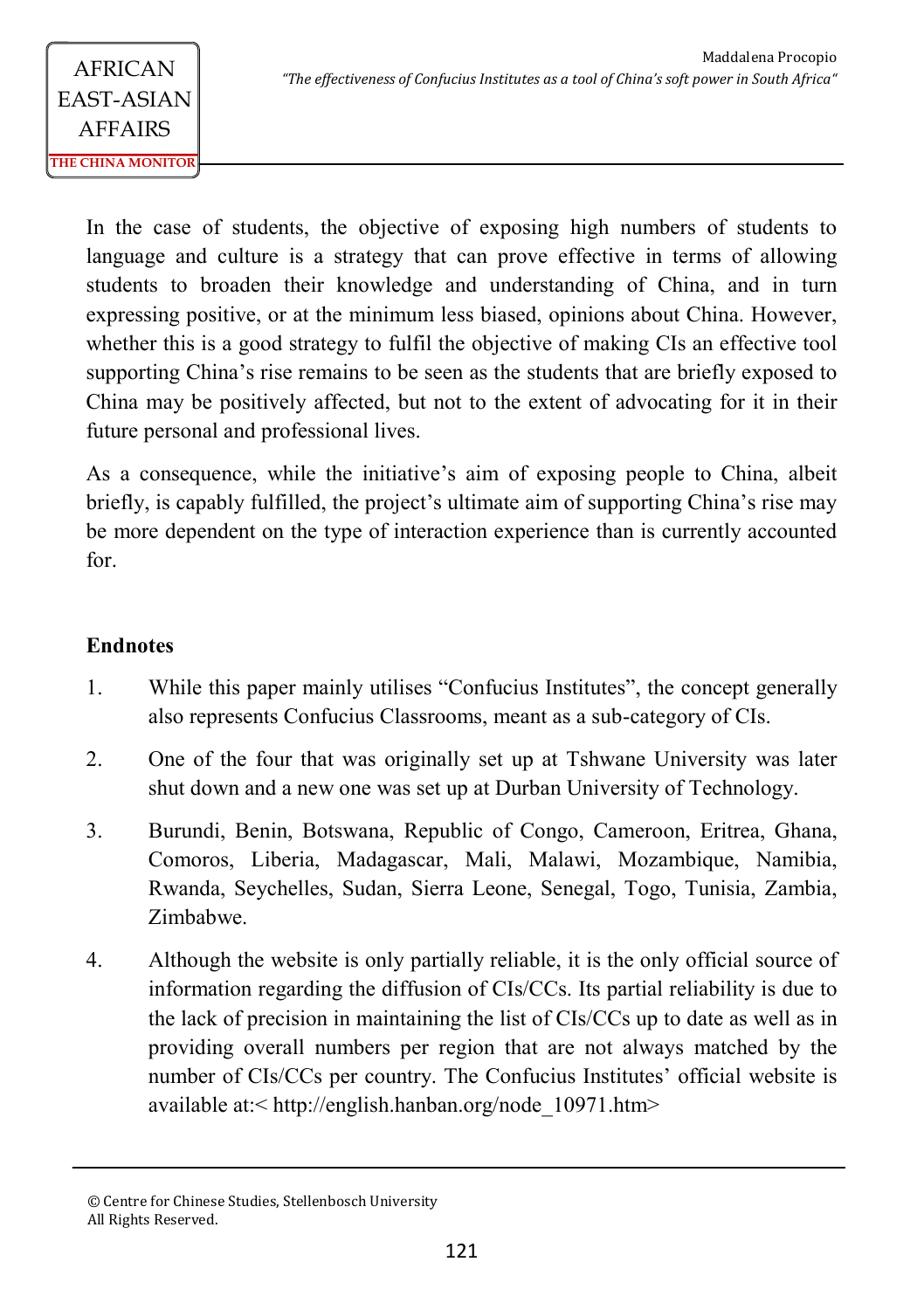In the case of students, the objective of exposing high numbers of students to language and culture is a strategy that can prove effective in terms of allowing students to broaden their knowledge and understanding of China, and in turn expressing positive, or at the minimum less biased, opinions about China. However, whether this is a good strategy to fulfil the objective of making CIs an effective tool supporting China's rise remains to be seen as the students that are briefly exposed to China may be positively affected, but not to the extent of advocating for it in their future personal and professional lives.

As a consequence, while the initiative's aim of exposing people to China, albeit briefly, is capably fulfilled, the project's ultimate aim of supporting China's rise may be more dependent on the type of interaction experience than is currently accounted for.

### **Endnotes**

- 1. While this paper mainly utilises "Confucius Institutes", the concept generally also represents Confucius Classrooms, meant as a sub-category of CIs.
- 2. One of the four that was originally set up at Tshwane University was later shut down and a new one was set up at Durban University of Technology.
- 3. Burundi, Benin, Botswana, Republic of Congo, Cameroon, Eritrea, Ghana, Comoros, Liberia, Madagascar, Mali, Malawi, Mozambique, Namibia, Rwanda, Seychelles, Sudan, Sierra Leone, Senegal, Togo, Tunisia, Zambia, Zimbabwe.
- 4. Although the website is only partially reliable, it is the only official source of information regarding the diffusion of CIs/CCs. Its partial reliability is due to the lack of precision in maintaining the list of CIs/CCs up to date as well as in providing overall numbers per region that are not always matched by the number of CIs/CCs per country. The Confucius Institutes' official website is available at:< http://english.hanban.org/node\_10971.htm>

<sup>©</sup> Centre for Chinese Studies, Stellenbosch University All Rights Reserved.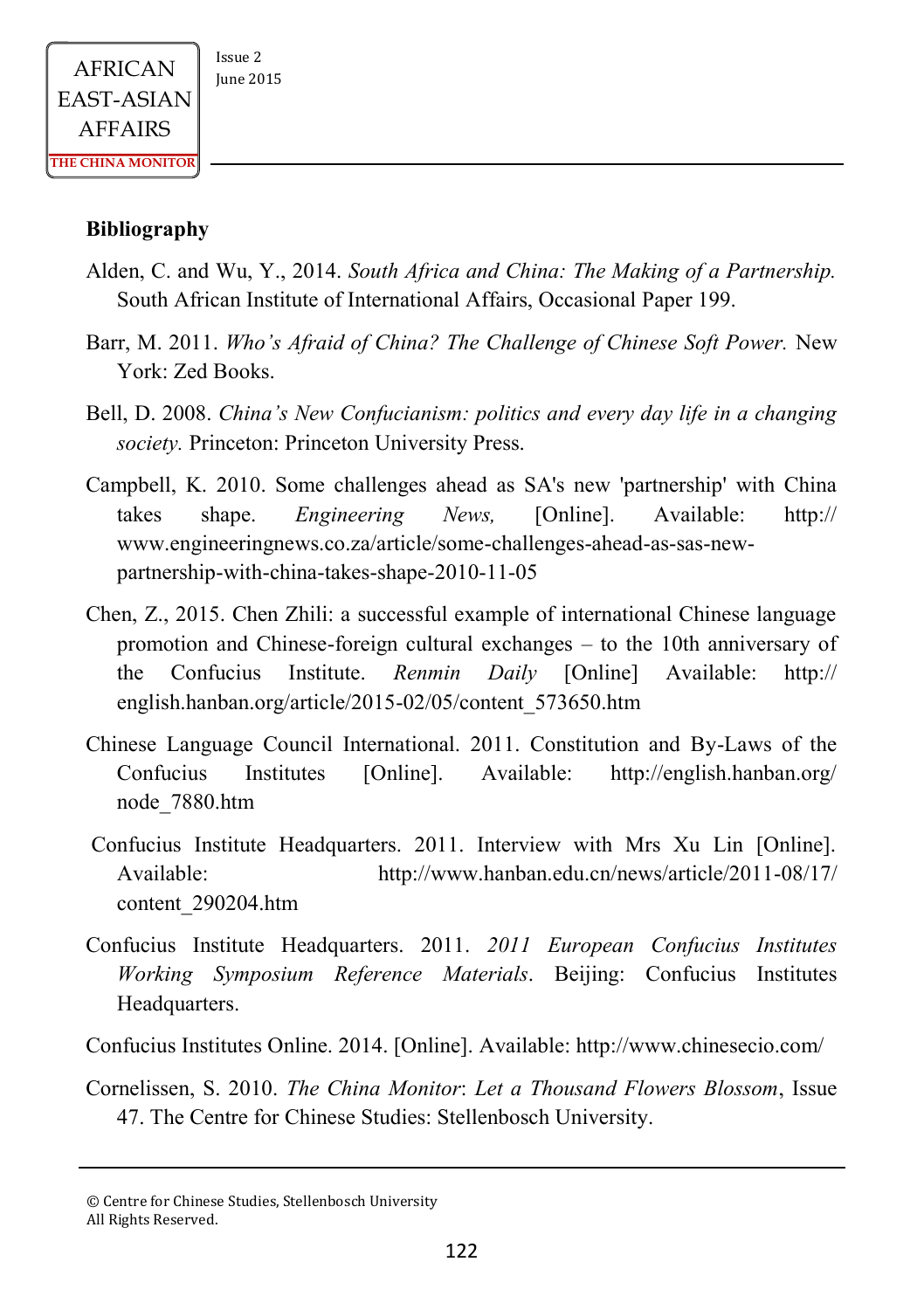#### **Bibliography**

- Alden, C. and Wu, Y., 2014. *South Africa and China: The Making of a Partnership.* South African Institute of International Affairs, Occasional Paper 199.
- Barr, M. 2011. *Who's Afraid of China? The Challenge of Chinese Soft Power.* New York: Zed Books.
- Bell, D. 2008. *China's New Confucianism: politics and every day life in a changing society.* Princeton: Princeton University Press.
- Campbell, K. 2010. Some challenges ahead as SA's new 'partnership' with China takes shape. *Engineering News,* [Online]. Available: http:// www.engineeringnews.co.za/article/some-challenges-ahead-as-sas-newpartnership-with-china-takes-shape-2010-11-05
- Chen, Z., 2015. Chen Zhili: a successful example of international Chinese language promotion and Chinese-foreign cultural exchanges – to the 10th anniversary of the Confucius Institute. *Renmin Daily* [Online] Available: http:// english.hanban.org/article/2015-02/05/content\_573650.htm
- Chinese Language Council International. 2011. Constitution and By-Laws of the Confucius Institutes [Online]. Available: http://english.hanban.org/ node\_7880.htm
- Confucius Institute Headquarters. 2011. Interview with Mrs Xu Lin [Online]. Available: http://www.hanban.edu.cn/news/article/2011-08/17/ content\_290204.htm
- Confucius Institute Headquarters. 2011. *2011 European Confucius Institutes Working Symposium Reference Materials*. Beijing: Confucius Institutes Headquarters.
- Confucius Institutes Online. 2014. [Online]. Available: http://www.chinesecio.com/
- Cornelissen, S. 2010. *The China Monitor*: *Let a Thousand Flowers Blossom*, Issue 47. The Centre for Chinese Studies: Stellenbosch University.

<sup>©</sup> Centre for Chinese Studies, Stellenbosch University All Rights Reserved.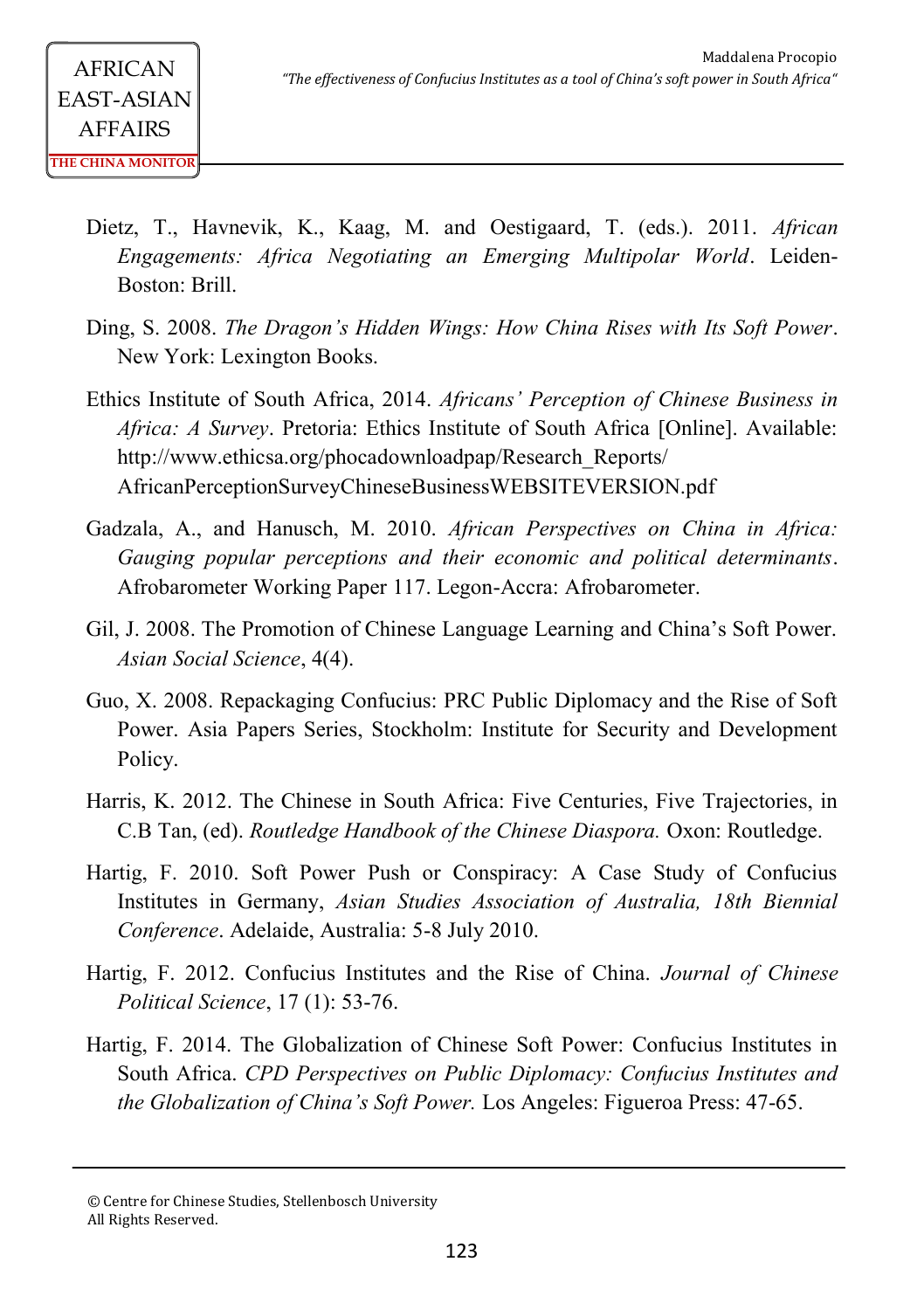- Dietz, T., Havnevik, K., Kaag, M. and Oestigaard, T. (eds.). 2011. *African Engagements: Africa Negotiating an Emerging Multipolar World*. Leiden-Boston: Brill.
- Ding, S. 2008. *The Dragon's Hidden Wings: How China Rises with Its Soft Power*. New York: Lexington Books.
- Ethics Institute of South Africa, 2014. *Africans' Perception of Chinese Business in Africa: A Survey*. Pretoria: Ethics Institute of South Africa [Online]. Available: http://www.ethicsa.org/phocadownloadpap/Research\_Reports/ AfricanPerceptionSurveyChineseBusinessWEBSITEVERSION.pdf
- Gadzala, A., and Hanusch, M. 2010. *African Perspectives on China in Africa: Gauging popular perceptions and their economic and political determinants*. Afrobarometer Working Paper 117. Legon-Accra: Afrobarometer.
- Gil, J. 2008. The Promotion of Chinese Language Learning and China's Soft Power. *Asian Social Science*, 4(4).
- Guo, X. 2008. Repackaging Confucius: PRC Public Diplomacy and the Rise of Soft Power. Asia Papers Series, Stockholm: Institute for Security and Development Policy.
- Harris, K. 2012. The Chinese in South Africa: Five Centuries, Five Trajectories, in C.B Tan, (ed). *Routledge Handbook of the Chinese Diaspora.* Oxon: Routledge.
- Hartig, F. 2010. Soft Power Push or Conspiracy: A Case Study of Confucius Institutes in Germany, *Asian Studies Association of Australia, 18th Biennial Conference*. Adelaide, Australia: 5-8 July 2010.
- Hartig, F. 2012. Confucius Institutes and the Rise of China. *Journal of Chinese Political Science*, 17 (1): 53-76.
- Hartig, F. 2014. The Globalization of Chinese Soft Power: Confucius Institutes in South Africa. *CPD Perspectives on Public Diplomacy: Confucius Institutes and the Globalization of China's Soft Power.* Los Angeles: Figueroa Press: 47-65.

<sup>©</sup> Centre for Chinese Studies, Stellenbosch University All Rights Reserved.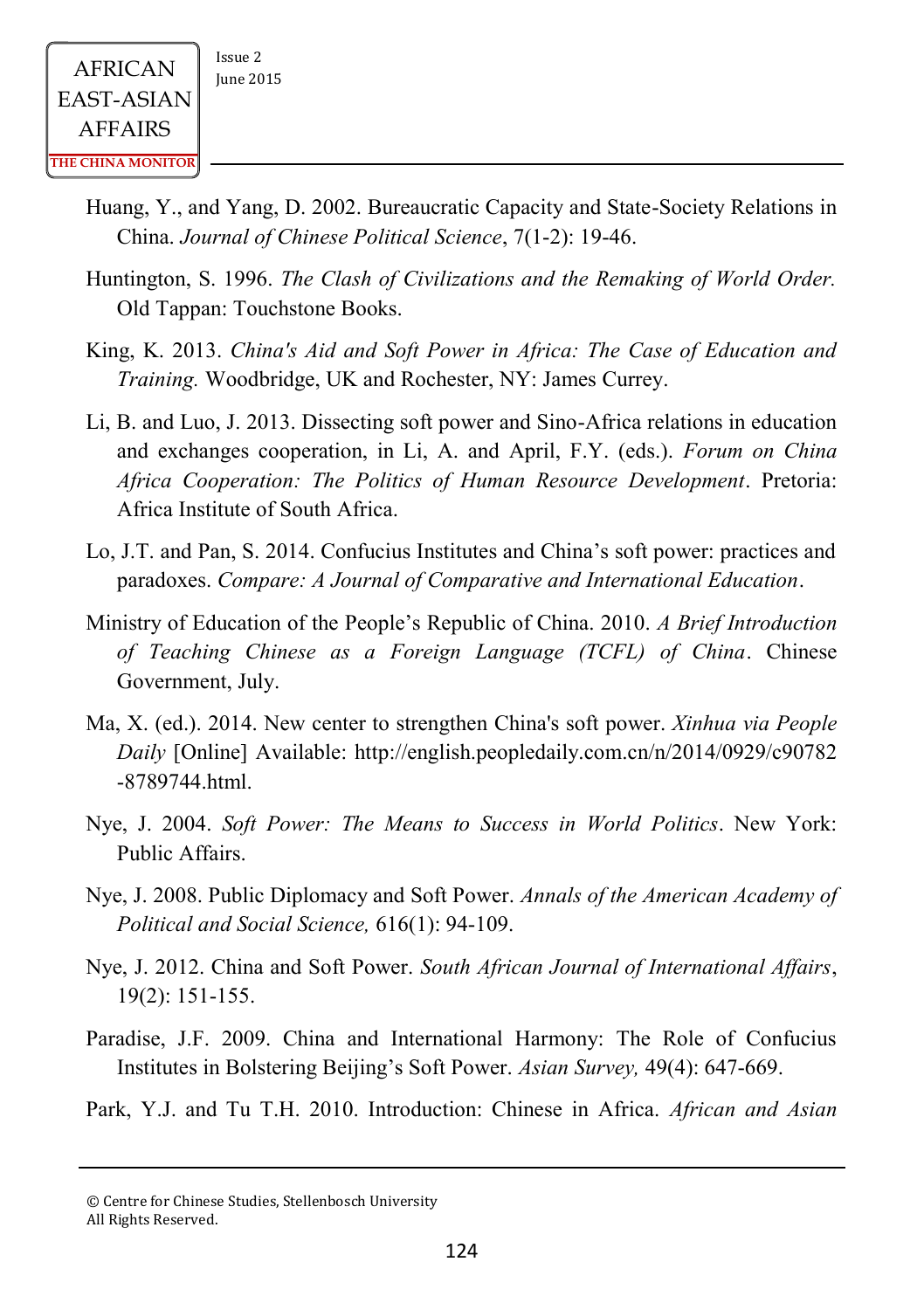- Huang, Y., and Yang, D. 2002. Bureaucratic Capacity and State-Society Relations in China. *Journal of Chinese Political Science*, 7(1-2): 19-46.
- Huntington, S. 1996. *The Clash of Civilizations and the Remaking of World Order.* Old Tappan: Touchstone Books.
- King, K. 2013. *China's Aid and Soft Power in Africa: The Case of Education and Training.* Woodbridge, UK and Rochester, NY: James Currey.
- Li, B. and Luo, J. 2013. Dissecting soft power and Sino-Africa relations in education and exchanges cooperation, in Li, A. and April, F.Y. (eds.). *Forum on China Africa Cooperation: The Politics of Human Resource Development*. Pretoria: Africa Institute of South Africa.
- Lo, J.T. and Pan, S. 2014. Confucius Institutes and China's soft power: practices and paradoxes. *Compare: A Journal of Comparative and International Education*.
- Ministry of Education of the People's Republic of China. 2010. *A Brief Introduction of Teaching Chinese as a Foreign Language (TCFL) of China*. Chinese Government, July.
- Ma, X. (ed.). 2014. New center to strengthen China's soft power. *Xinhua via People Daily* [Online] Available: http://english.peopledaily.com.cn/n/2014/0929/c90782 -8789744.html.
- Nye, J. 2004. *Soft Power: The Means to Success in World Politics*. New York: Public Affairs.
- Nye, J. 2008. Public Diplomacy and Soft Power. *Annals of the American Academy of Political and Social Science,* 616(1): 94-109.
- Nye, J. 2012. China and Soft Power. *South African Journal of International Affairs*, 19(2): 151-155.
- Paradise, J.F. 2009. China and International Harmony: The Role of Confucius Institutes in Bolstering Beijing's Soft Power. *Asian Survey,* 49(4): 647-669.
- Park, Y.J. and Tu T.H. 2010. Introduction: Chinese in Africa. *African and Asian*

<sup>©</sup> Centre for Chinese Studies, Stellenbosch University All Rights Reserved.